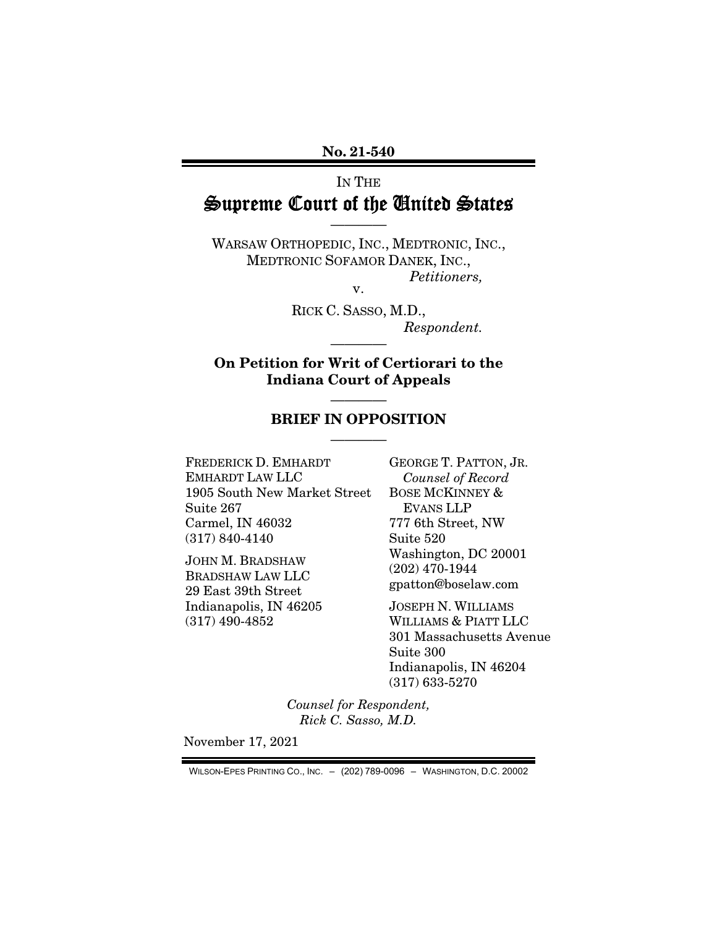No. 21-540

## IN THE Supreme Court of the United States

————

WARSAW ORTHOPEDIC, INC., MEDTRONIC, INC., MEDTRONIC SOFAMOR DANEK, INC., *Petitioners,* 

v.

RICK C. SASSO, M.D., *Respondent.* 

On Petition for Writ of Certiorari to the Indiana Court of Appeals

————

## ———— BRIEF IN OPPOSITION ————

FREDERICK D. EMHARDT EMHARDT LAW LLC 1905 South New Market Street Suite 267 Carmel, IN 46032 (317) 840-4140

JOHN M. BRADSHAW BRADSHAW LAW LLC 29 East 39th Street Indianapolis, IN 46205 (317) 490-4852

GEORGE T. PATTON, JR. *Counsel of Record*  BOSE MCKINNEY & EVANS LLP 777 6th Street, NW Suite 520 Washington, DC 20001 (202) 470-1944 gpatton@boselaw.com

JOSEPH N. WILLIAMS WILLIAMS & PIATT LLC 301 Massachusetts Avenue Suite 300 Indianapolis, IN 46204 (317) 633-5270

*Counsel for Respondent, Rick C. Sasso, M.D.* 

November 17, 2021

WILSON-EPES PRINTING CO., INC. – (202) 789-0096 – WASHINGTON, D.C. 20002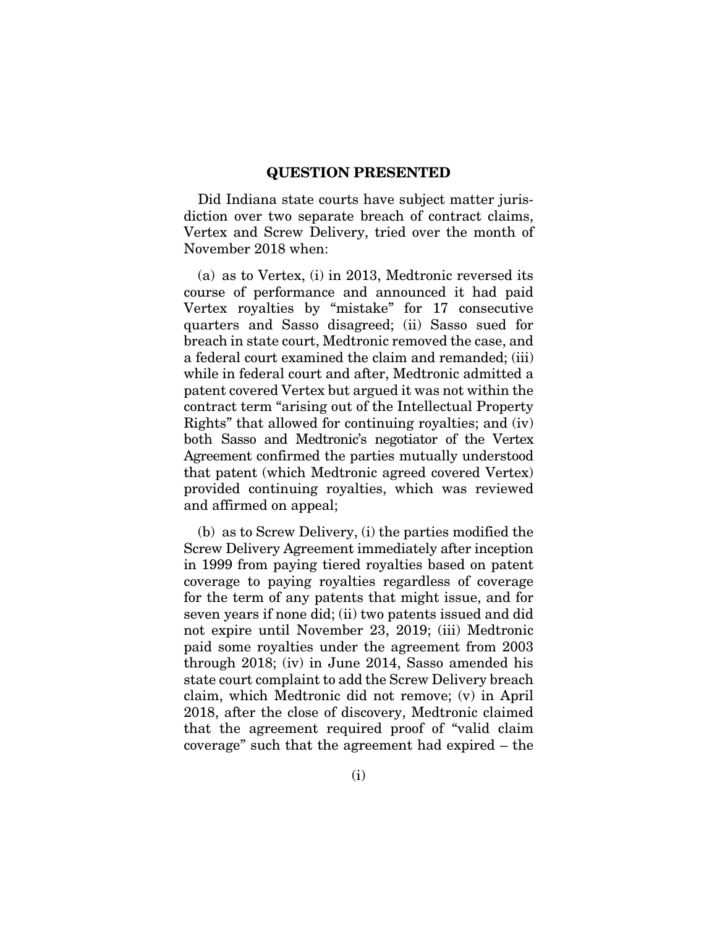#### QUESTION PRESENTED

Did Indiana state courts have subject matter jurisdiction over two separate breach of contract claims, Vertex and Screw Delivery, tried over the month of November 2018 when:

(a) as to Vertex, (i) in 2013, Medtronic reversed its course of performance and announced it had paid Vertex royalties by "mistake" for 17 consecutive quarters and Sasso disagreed; (ii) Sasso sued for breach in state court, Medtronic removed the case, and a federal court examined the claim and remanded; (iii) while in federal court and after, Medtronic admitted a patent covered Vertex but argued it was not within the contract term "arising out of the Intellectual Property Rights" that allowed for continuing royalties; and (iv) both Sasso and Medtronic's negotiator of the Vertex Agreement confirmed the parties mutually understood that patent (which Medtronic agreed covered Vertex) provided continuing royalties, which was reviewed and affirmed on appeal;

(b) as to Screw Delivery, (i) the parties modified the Screw Delivery Agreement immediately after inception in 1999 from paying tiered royalties based on patent coverage to paying royalties regardless of coverage for the term of any patents that might issue, and for seven years if none did; (ii) two patents issued and did not expire until November 23, 2019; (iii) Medtronic paid some royalties under the agreement from 2003 through 2018; (iv) in June 2014, Sasso amended his state court complaint to add the Screw Delivery breach claim, which Medtronic did not remove; (v) in April 2018, after the close of discovery, Medtronic claimed that the agreement required proof of "valid claim coverage" such that the agreement had expired – the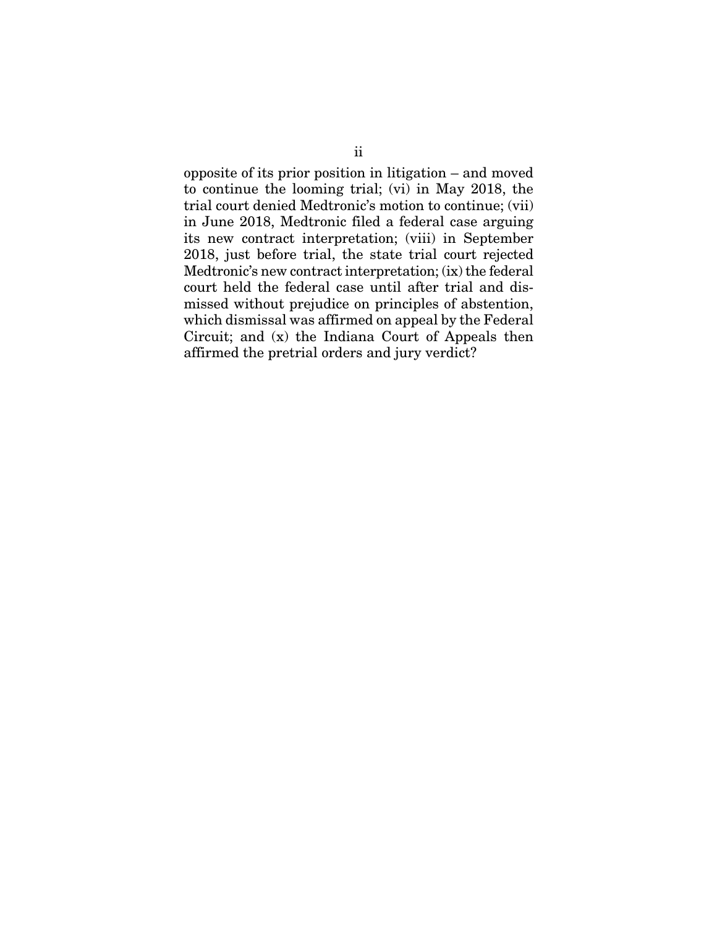opposite of its prior position in litigation – and moved to continue the looming trial; (vi) in May 2018, the trial court denied Medtronic's motion to continue; (vii) in June 2018, Medtronic filed a federal case arguing its new contract interpretation; (viii) in September 2018, just before trial, the state trial court rejected Medtronic's new contract interpretation; (ix) the federal court held the federal case until after trial and dismissed without prejudice on principles of abstention, which dismissal was affirmed on appeal by the Federal Circuit; and (x) the Indiana Court of Appeals then affirmed the pretrial orders and jury verdict?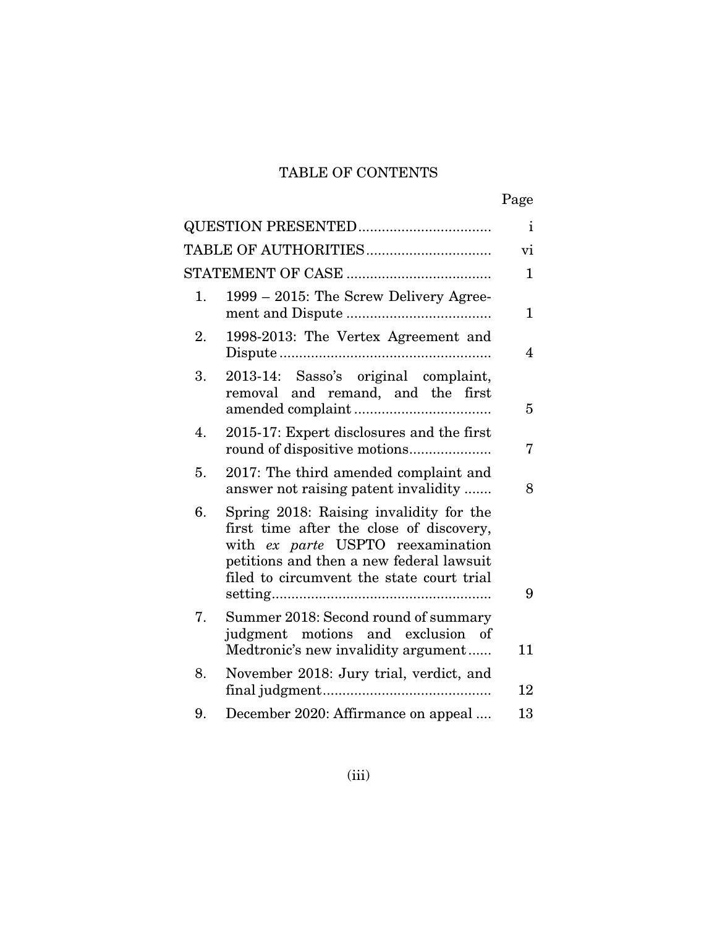## TABLE OF CONTENTS

|--|

|    |                                                                                                                                                                                                                   | $\mathbf{i}$   |
|----|-------------------------------------------------------------------------------------------------------------------------------------------------------------------------------------------------------------------|----------------|
|    |                                                                                                                                                                                                                   | $\rm{vi}$      |
|    |                                                                                                                                                                                                                   | $\mathbf{1}$   |
| 1. | 1999 - 2015: The Screw Delivery Agree-                                                                                                                                                                            | $\mathbf{1}$   |
| 2. | 1998-2013: The Vertex Agreement and                                                                                                                                                                               | $\overline{4}$ |
| 3. | 2013-14: Sasso's original complaint,<br>removal and remand, and the first                                                                                                                                         | 5              |
| 4. | 2015-17: Expert disclosures and the first                                                                                                                                                                         | 7              |
| 5. | 2017: The third amended complaint and<br>answer not raising patent invalidity                                                                                                                                     | 8              |
| 6. | Spring 2018: Raising invalidity for the<br>first time after the close of discovery,<br>with ex parte USPTO reexamination<br>petitions and then a new federal lawsuit<br>filed to circumvent the state court trial | 9              |
| 7. | Summer 2018: Second round of summary<br>judgment motions and exclusion of<br>Medtronic's new invalidity argument                                                                                                  | 11             |
| 8. | November 2018: Jury trial, verdict, and                                                                                                                                                                           | 12             |
| 9. | December 2020: Affirmance on appeal                                                                                                                                                                               | 13             |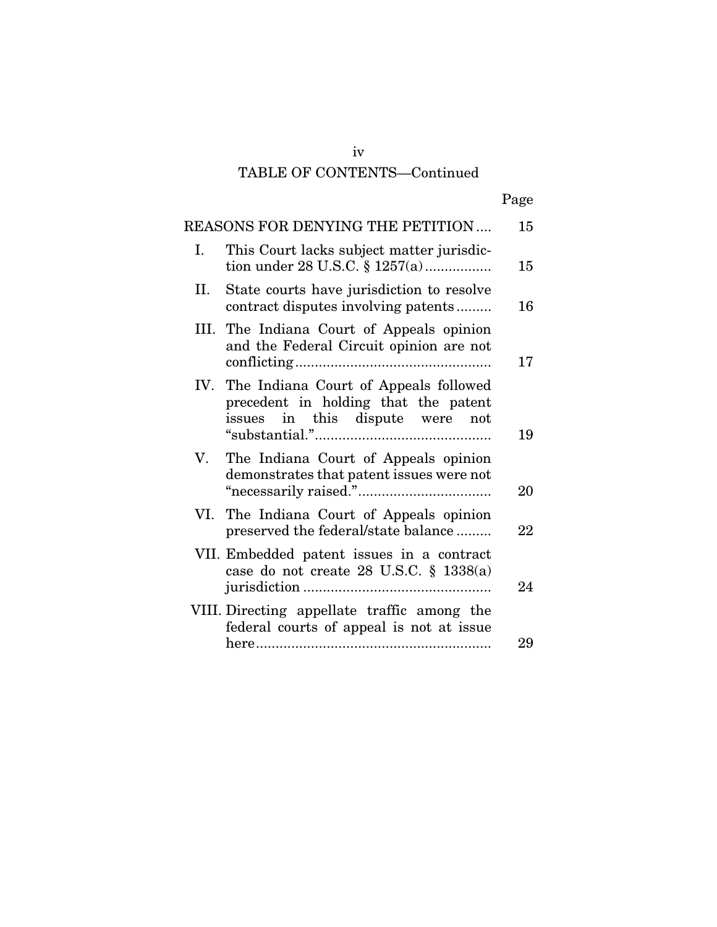## TABLE OF CONTENTS—Continued

|--|

|    | REASONS FOR DENYING THE PETITION                                                                                     | 15 |
|----|----------------------------------------------------------------------------------------------------------------------|----|
| Ι. | This Court lacks subject matter jurisdic-<br>tion under 28 U.S.C. $\S 1257(a)$                                       | 15 |
| Н. | State courts have jurisdiction to resolve<br>contract disputes involving patents                                     | 16 |
|    | III. The Indiana Court of Appeals opinion<br>and the Federal Circuit opinion are not                                 | 17 |
|    | IV. The Indiana Court of Appeals followed<br>precedent in holding that the patent<br>issues in this dispute were not | 19 |
| V. | The Indiana Court of Appeals opinion<br>demonstrates that patent issues were not                                     | 20 |
|    | VI. The Indiana Court of Appeals opinion<br>preserved the federal/state balance                                      | 22 |
|    | VII. Embedded patent issues in a contract<br>case do not create 28 U.S.C. § 1338(a)                                  | 24 |
|    | VIII. Directing appellate traffic among the<br>federal courts of appeal is not at issue                              | 29 |
|    |                                                                                                                      |    |

iv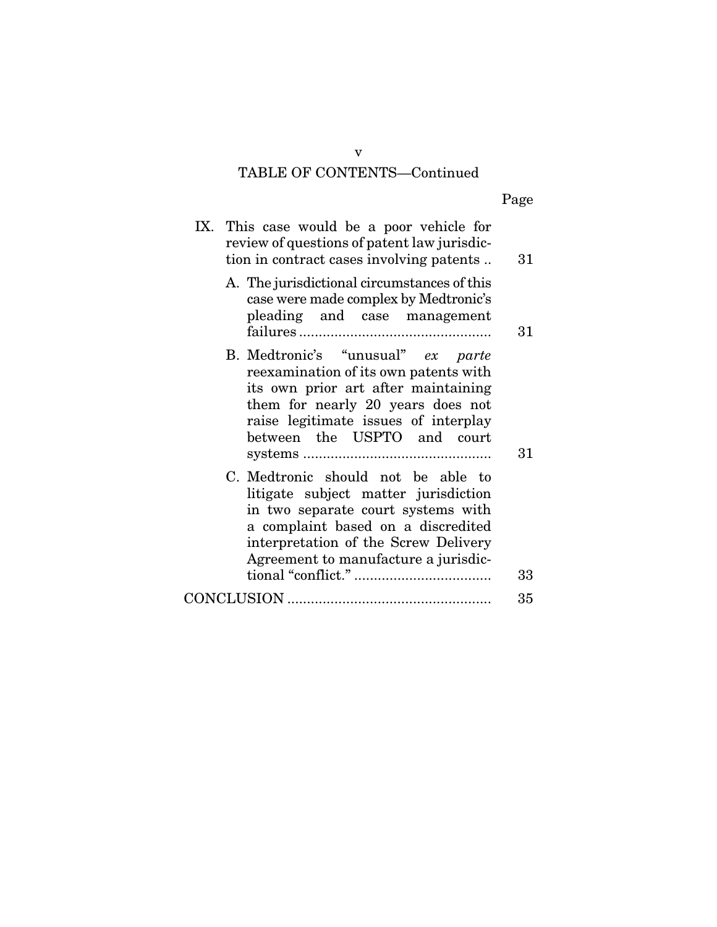## TABLE OF CONTENTS—Continued

| IX. This case would be a poor vehicle for<br>review of questions of patent law jurisdic-<br>tion in contract cases involving patents                                                                                                   |    |
|----------------------------------------------------------------------------------------------------------------------------------------------------------------------------------------------------------------------------------------|----|
| A. The jurisdictional circumstances of this<br>case were made complex by Medtronic's<br>pleading and case management                                                                                                                   | 31 |
| B. Medtronic's "unusual" ex parte<br>reexamination of its own patents with<br>its own prior art after maintaining<br>them for nearly 20 years does not<br>raise legitimate issues of interplay<br>between the USPTO and court          | 31 |
| C. Medtronic should not be able to<br>litigate subject matter jurisdiction<br>in two separate court systems with<br>a complaint based on a discredited<br>interpretation of the Screw Delivery<br>Agreement to manufacture a jurisdic- | 33 |
|                                                                                                                                                                                                                                        | 35 |

v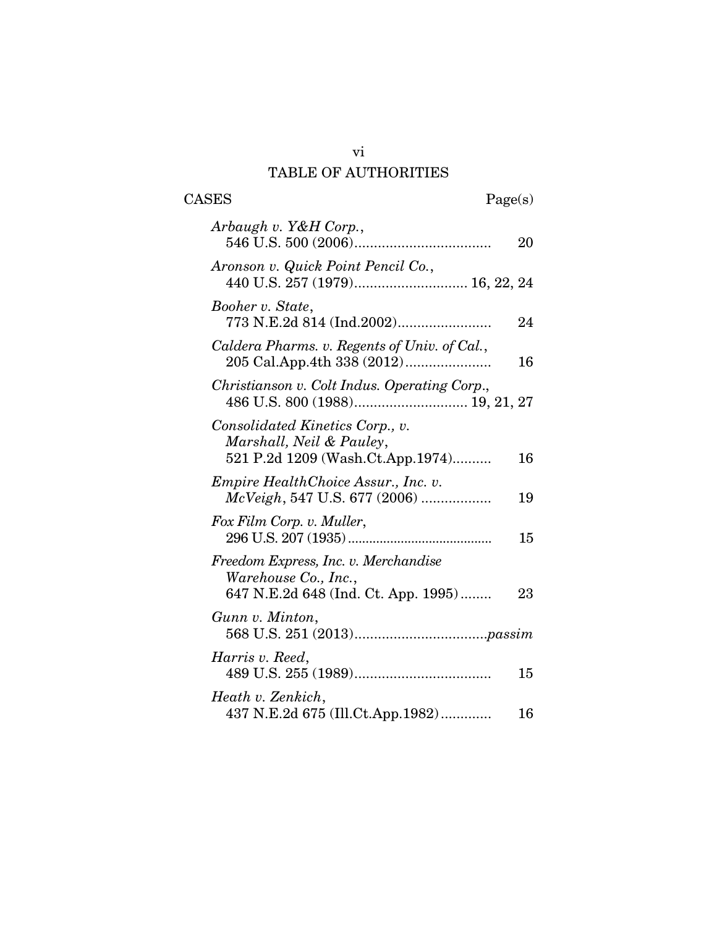## vi TABLE OF AUTHORITIES

 $\begin{tabular}{cc} \textbf{CASES} & \textbf{Page(s)}\\ \end{tabular}$ 

| Arbaugh v. Y&H Corp.,                                                                               | 20 |
|-----------------------------------------------------------------------------------------------------|----|
| Aronson v. Quick Point Pencil Co.,                                                                  |    |
| Booher v. State,<br>773 N.E.2d 814 (Ind.2002)                                                       | 24 |
| Caldera Pharms. v. Regents of Univ. of Cal.,                                                        | 16 |
| Christianson v. Colt Indus. Operating Corp.,                                                        |    |
| Consolidated Kinetics Corp., v.<br>Marshall, Neil & Pauley,<br>521 P.2d 1209 (Wash.Ct.App.1974)     | 16 |
| <i>Empire HealthChoice Assur., Inc. v.</i><br>McVeigh, 547 U.S. 677 (2006)                          | 19 |
| Fox Film Corp. v. Muller,                                                                           | 15 |
| Freedom Express, Inc. v. Merchandise<br>Warehouse Co., Inc.,<br>647 N.E.2d 648 (Ind. Ct. App. 1995) | 23 |
| Gunn v. Minton,                                                                                     |    |
| Harris v. Reed,                                                                                     | 15 |
| Heath v. Zenkich,<br>437 N.E.2d 675 (Ill.Ct.App.1982)                                               | 16 |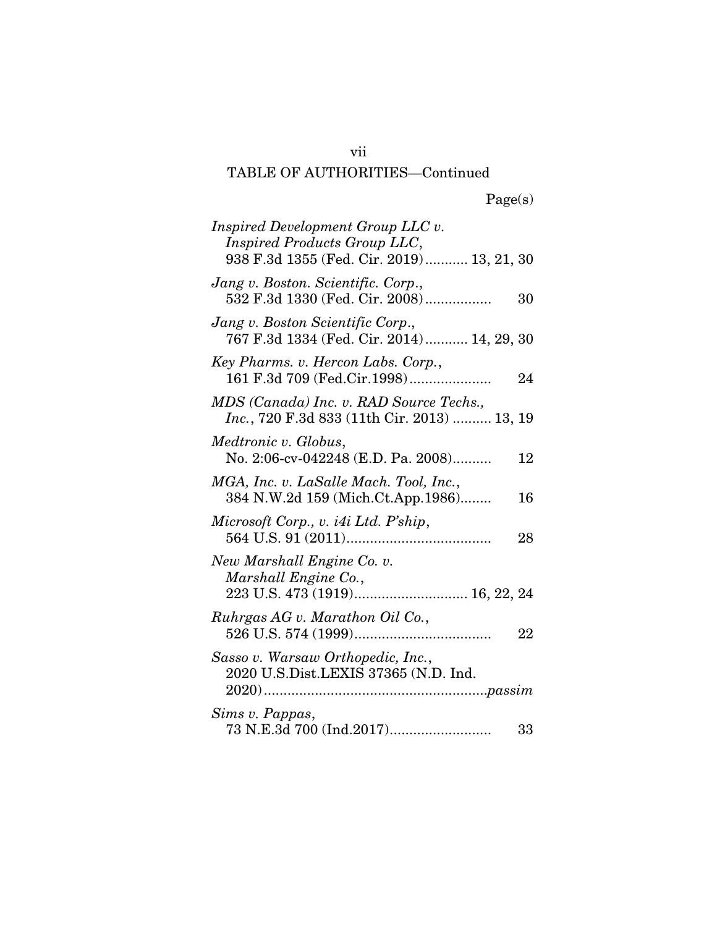# TABLE OF AUTHORITIES—Continued

| Inspired Development Group LLC v.<br>Inspired Products Group LLC,<br>938 F.3d 1355 (Fed. Cir. 2019) 13, 21, 30 |    |
|----------------------------------------------------------------------------------------------------------------|----|
| Jang v. Boston. Scientific. Corp.,<br>532 F.3d 1330 (Fed. Cir. 2008)                                           | 30 |
| Jang v. Boston Scientific Corp.,<br>767 F.3d 1334 (Fed. Cir. 2014) 14, 29, 30                                  |    |
| Key Pharms. v. Hercon Labs. Corp.,<br>161 F.3d 709 (Fed.Cir.1998)                                              | 24 |
| MDS (Canada) Inc. v. RAD Source Techs.,<br><i>Inc.</i> , 720 F.3d 833 (11th Cir. 2013)  13, 19                 |    |
| Medtronic v. Globus,<br>No. 2:06-cv-042248 (E.D. Pa. 2008)                                                     | 12 |
| MGA, Inc. v. LaSalle Mach. Tool, Inc.,<br>384 N.W.2d 159 (Mich.Ct.App.1986)                                    | 16 |
| Microsoft Corp., v. i4i Ltd. P'ship,                                                                           | 28 |
| New Marshall Engine Co. v.<br>Marshall Engine Co.,                                                             |    |
| Ruhrgas AG v. Marathon Oil Co.,                                                                                | 22 |
| Sasso v. Warsaw Orthopedic, Inc.,<br>2020 U.S.Dist.LEXIS 37365 (N.D. Ind.                                      |    |
| Sims v. Pappas,                                                                                                | 33 |

vii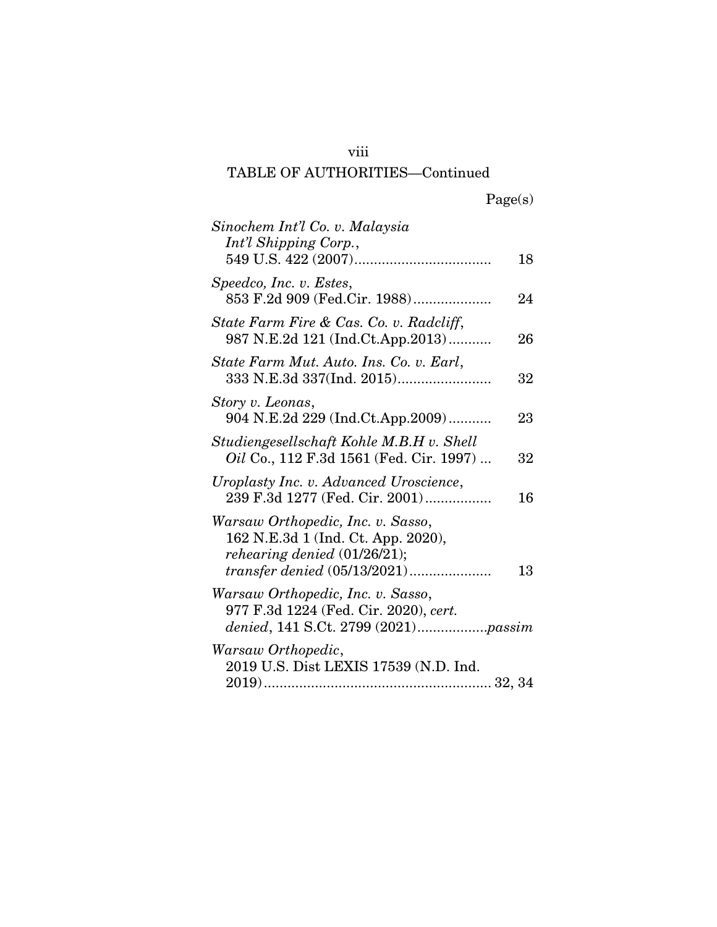## viii

## TABLE OF AUTHORITIES—Continued

|  | Page(s) |
|--|---------|
|  |         |

| Sinochem Int'l Co. v. Malaysia<br>Int'l Shipping Corp.,                                                                                        | 18 |
|------------------------------------------------------------------------------------------------------------------------------------------------|----|
| Speedco, Inc. v. Estes,<br>853 F.2d 909 (Fed.Cir. 1988)                                                                                        | 24 |
| State Farm Fire & Cas. Co. v. Radcliff,<br>987 N.E.2d 121 (Ind.Ct.App.2013)                                                                    | 26 |
| State Farm Mut. Auto. Ins. Co. v. Earl,                                                                                                        | 32 |
| Story v. Leonas,<br>904 N.E.2d 229 (Ind.Ct.App.2009)                                                                                           | 23 |
| Studiengesellschaft Kohle M.B.H v. Shell<br>Oil Co., 112 F.3d 1561 (Fed. Cir. 1997)                                                            | 32 |
| Uroplasty Inc. v. Advanced Uroscience,<br>239 F.3d 1277 (Fed. Cir. 2001)                                                                       | 16 |
| Warsaw Orthopedic, Inc. v. Sasso,<br>162 N.E.3d 1 (Ind. Ct. App. 2020),<br>rehearing denied $(01/26/21)$ ;<br>$transfer\ denied\ (05/13/2021)$ | 13 |
| Warsaw Orthopedic, Inc. v. Sasso,<br>977 F.3d 1224 (Fed. Cir. 2020), cert.<br>denied, 141 S.Ct. 2799 (2021)passim                              |    |
| Warsaw Orthopedic,<br>2019 U.S. Dist LEXIS 17539 (N.D. Ind.                                                                                    |    |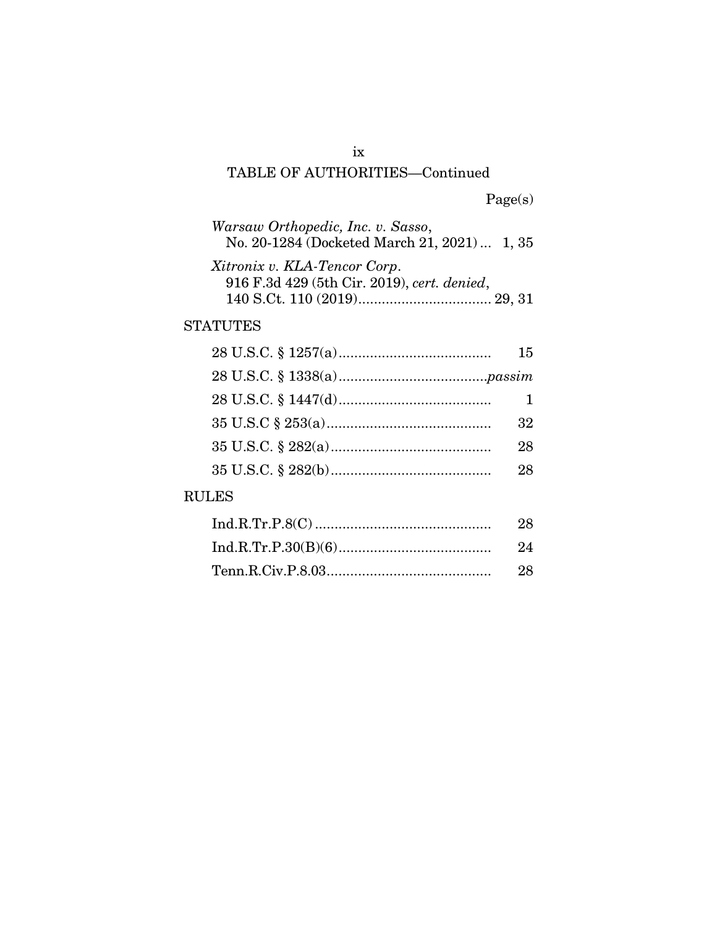## ix TABLE OF AUTHORITIES—Continued

| Warsaw Orthopedic, Inc. v. Sasso,<br>No. 20-1284 (Docketed March 21, 2021)  1, 35 |  |
|-----------------------------------------------------------------------------------|--|
| Xitronix v. KLA-Tencor Corp.<br>916 F.3d 429 (5th Cir. 2019), cert. denied,       |  |

## STATUTES

| 15 |
|----|
|    |
|    |
| 32 |
| 28 |
| 28 |
|    |

## RULES

| - 28 |
|------|
|      |
|      |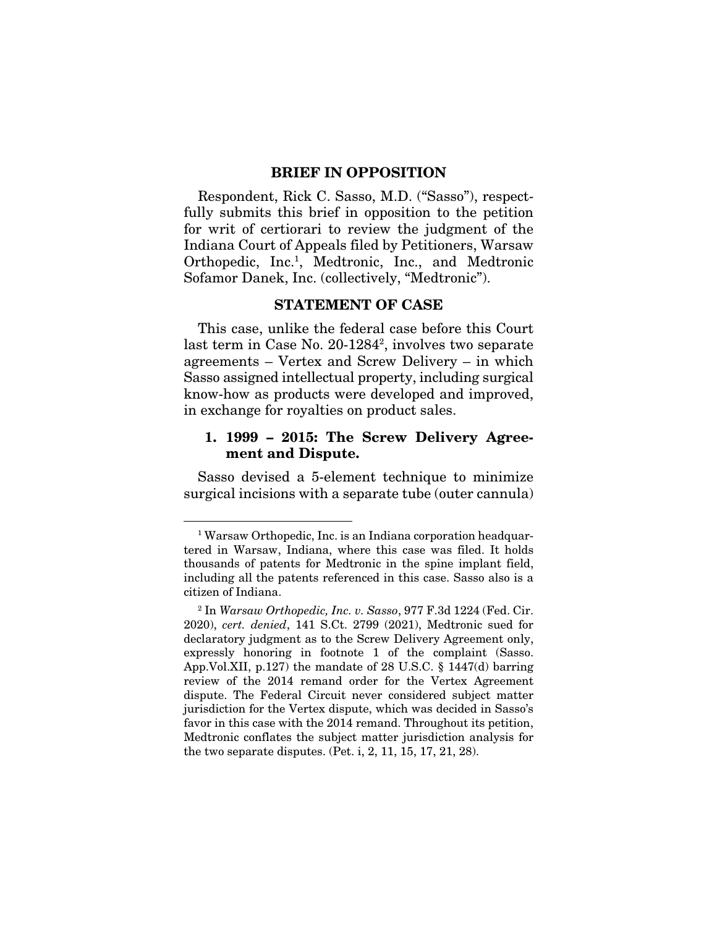#### BRIEF IN OPPOSITION

Respondent, Rick C. Sasso, M.D. ("Sasso"), respectfully submits this brief in opposition to the petition for writ of certiorari to review the judgment of the Indiana Court of Appeals filed by Petitioners, Warsaw Orthopedic, Inc.<sup>1</sup>, Medtronic, Inc., and Medtronic Sofamor Danek, Inc. (collectively, "Medtronic").

#### STATEMENT OF CASE

This case, unlike the federal case before this Court last term in Case No. 20-12842 , involves two separate agreements – Vertex and Screw Delivery – in which Sasso assigned intellectual property, including surgical know-how as products were developed and improved, in exchange for royalties on product sales.

#### 1. 1999 – 2015: The Screw Delivery Agreement and Dispute.

Sasso devised a 5-element technique to minimize surgical incisions with a separate tube (outer cannula)

<sup>&</sup>lt;sup>1</sup> Warsaw Orthopedic, Inc. is an Indiana corporation headquartered in Warsaw, Indiana, where this case was filed. It holds thousands of patents for Medtronic in the spine implant field, including all the patents referenced in this case. Sasso also is a citizen of Indiana.

<sup>2</sup> In *Warsaw Orthopedic, Inc. v. Sasso*, 977 F.3d 1224 (Fed. Cir. 2020), *cert. denied*, 141 S.Ct. 2799 (2021), Medtronic sued for declaratory judgment as to the Screw Delivery Agreement only, expressly honoring in footnote 1 of the complaint (Sasso. App.Vol.XII, p.127) the mandate of 28 U.S.C. § 1447(d) barring review of the 2014 remand order for the Vertex Agreement dispute. The Federal Circuit never considered subject matter jurisdiction for the Vertex dispute, which was decided in Sasso's favor in this case with the 2014 remand. Throughout its petition, Medtronic conflates the subject matter jurisdiction analysis for the two separate disputes. (Pet. i, 2, 11, 15, 17, 21, 28).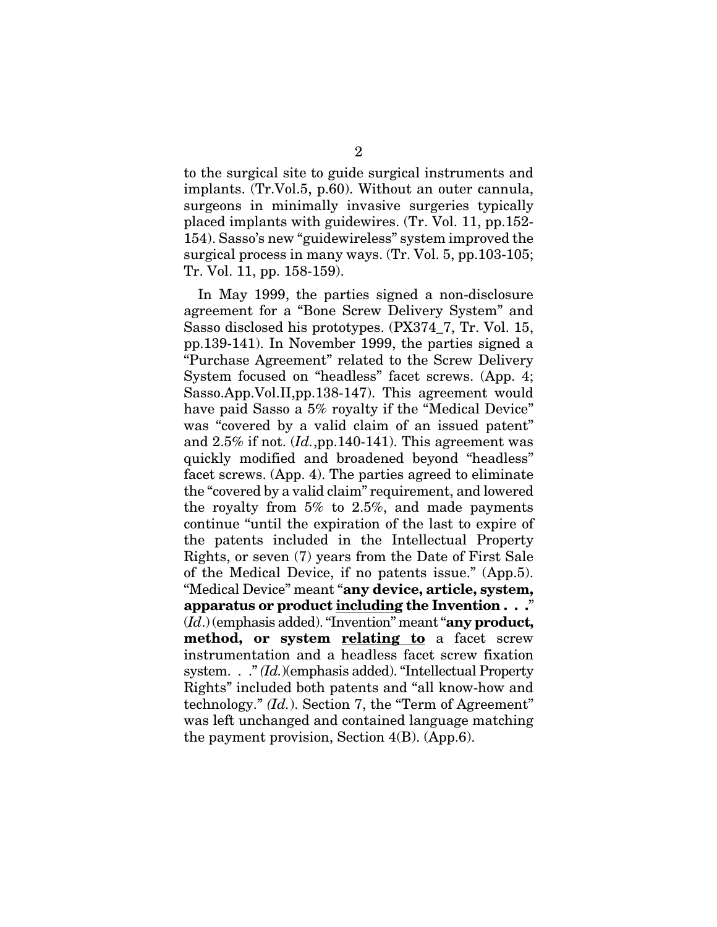to the surgical site to guide surgical instruments and implants. (Tr.Vol.5, p.60). Without an outer cannula, surgeons in minimally invasive surgeries typically placed implants with guidewires. (Tr. Vol. 11, pp.152- 154). Sasso's new "guidewireless" system improved the surgical process in many ways. (Tr. Vol. 5, pp.103-105; Tr. Vol. 11, pp. 158-159).

In May 1999, the parties signed a non-disclosure agreement for a "Bone Screw Delivery System" and Sasso disclosed his prototypes. (PX374\_7, Tr. Vol. 15, pp.139-141). In November 1999, the parties signed a "Purchase Agreement" related to the Screw Delivery System focused on "headless" facet screws. (App. 4; Sasso.App.Vol.II,pp.138-147). This agreement would have paid Sasso a 5% royalty if the "Medical Device" was "covered by a valid claim of an issued patent" and 2.5% if not. (*Id.*,pp.140-141). This agreement was quickly modified and broadened beyond "headless" facet screws. (App. 4). The parties agreed to eliminate the "covered by a valid claim" requirement, and lowered the royalty from 5% to 2.5%, and made payments continue "until the expiration of the last to expire of the patents included in the Intellectual Property Rights, or seven (7) years from the Date of First Sale of the Medical Device, if no patents issue." (App.5). "Medical Device" meant "any device, article, system, apparatus or product including the Invention . . ." (*Id*.) (emphasis added). "Invention" meant "any product, method, or system relating to a facet screw instrumentation and a headless facet screw fixation system. . ." *(Id.*)(emphasis added). "Intellectual Property Rights" included both patents and "all know-how and technology." *(Id.*). Section 7, the "Term of Agreement" was left unchanged and contained language matching the payment provision, Section 4(B). (App.6).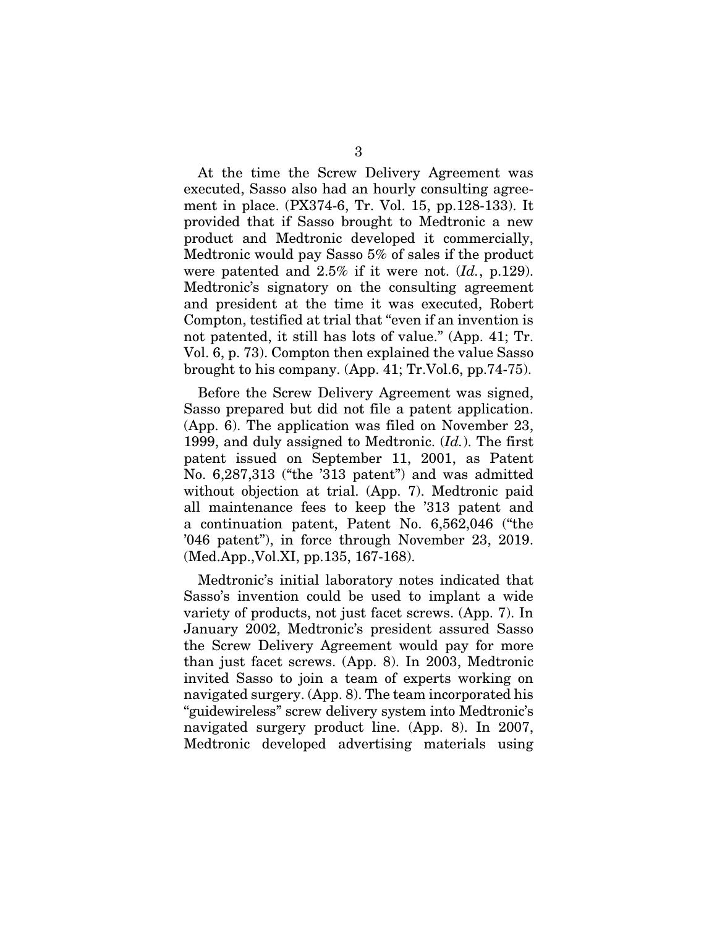At the time the Screw Delivery Agreement was executed, Sasso also had an hourly consulting agreement in place. (PX374-6, Tr. Vol. 15, pp.128-133). It provided that if Sasso brought to Medtronic a new product and Medtronic developed it commercially, Medtronic would pay Sasso 5% of sales if the product were patented and 2.5% if it were not. (*Id.*, p.129). Medtronic's signatory on the consulting agreement and president at the time it was executed, Robert Compton, testified at trial that "even if an invention is not patented, it still has lots of value." (App. 41; Tr. Vol. 6, p. 73). Compton then explained the value Sasso brought to his company. (App. 41; Tr.Vol.6, pp.74-75).

Before the Screw Delivery Agreement was signed, Sasso prepared but did not file a patent application. (App. 6). The application was filed on November 23, 1999, and duly assigned to Medtronic. (*Id.*). The first patent issued on September 11, 2001, as Patent No. 6,287,313 ("the '313 patent") and was admitted without objection at trial. (App. 7). Medtronic paid all maintenance fees to keep the '313 patent and a continuation patent, Patent No. 6,562,046 ("the '046 patent"), in force through November 23, 2019. (Med.App.,Vol.XI, pp.135, 167-168).

Medtronic's initial laboratory notes indicated that Sasso's invention could be used to implant a wide variety of products, not just facet screws. (App. 7). In January 2002, Medtronic's president assured Sasso the Screw Delivery Agreement would pay for more than just facet screws. (App. 8). In 2003, Medtronic invited Sasso to join a team of experts working on navigated surgery. (App. 8). The team incorporated his "guidewireless" screw delivery system into Medtronic's navigated surgery product line. (App. 8). In 2007, Medtronic developed advertising materials using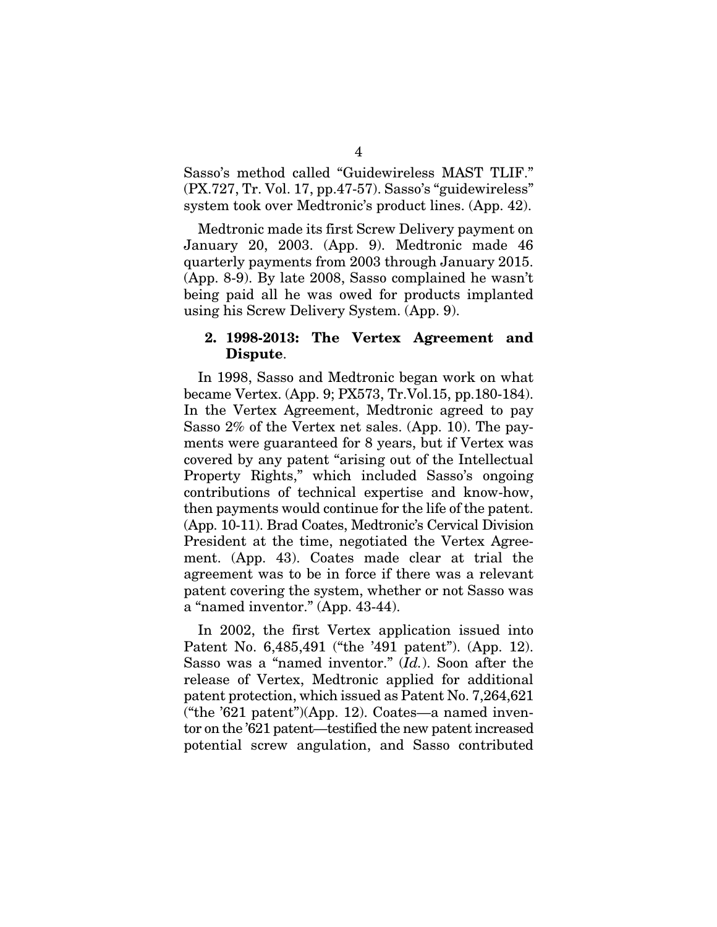Sasso's method called "Guidewireless MAST TLIF." (PX.727, Tr. Vol. 17, pp.47-57). Sasso's "guidewireless" system took over Medtronic's product lines. (App. 42).

Medtronic made its first Screw Delivery payment on January 20, 2003. (App. 9). Medtronic made 46 quarterly payments from 2003 through January 2015. (App. 8-9). By late 2008, Sasso complained he wasn't being paid all he was owed for products implanted using his Screw Delivery System. (App. 9).

#### 2. 1998-2013: The Vertex Agreement and Dispute.

In 1998, Sasso and Medtronic began work on what became Vertex. (App. 9; PX573, Tr.Vol.15, pp.180-184). In the Vertex Agreement, Medtronic agreed to pay Sasso 2% of the Vertex net sales. (App. 10). The payments were guaranteed for 8 years, but if Vertex was covered by any patent "arising out of the Intellectual Property Rights," which included Sasso's ongoing contributions of technical expertise and know-how, then payments would continue for the life of the patent. (App. 10-11). Brad Coates, Medtronic's Cervical Division President at the time, negotiated the Vertex Agreement. (App. 43). Coates made clear at trial the agreement was to be in force if there was a relevant patent covering the system, whether or not Sasso was a "named inventor." (App. 43-44).

In 2002, the first Vertex application issued into Patent No. 6,485,491 ("the '491 patent"). (App. 12). Sasso was a "named inventor." (*Id.*). Soon after the release of Vertex, Medtronic applied for additional patent protection, which issued as Patent No. 7,264,621 ("the '621 patent")(App. 12). Coates—a named inventor on the '621 patent—testified the new patent increased potential screw angulation, and Sasso contributed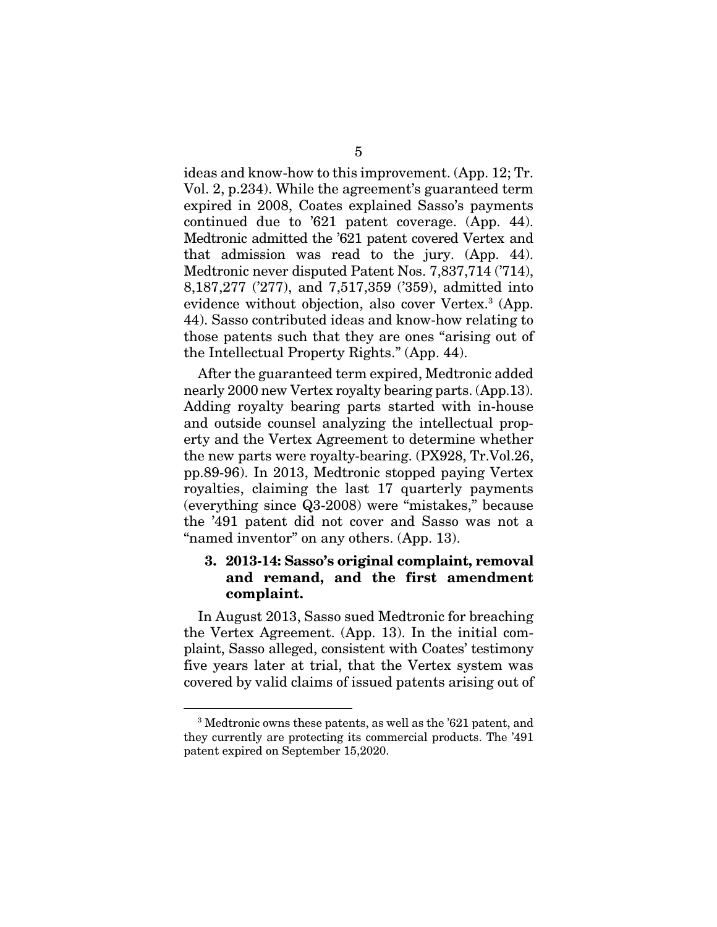ideas and know-how to this improvement. (App. 12; Tr. Vol. 2, p.234). While the agreement's guaranteed term expired in 2008, Coates explained Sasso's payments continued due to '621 patent coverage. (App. 44). Medtronic admitted the '621 patent covered Vertex and that admission was read to the jury. (App. 44). Medtronic never disputed Patent Nos. 7,837,714 ('714), 8,187,277 ('277), and 7,517,359 ('359), admitted into evidence without objection, also cover Vertex.<sup>3</sup> (App. 44). Sasso contributed ideas and know-how relating to those patents such that they are ones "arising out of the Intellectual Property Rights." (App. 44).

After the guaranteed term expired, Medtronic added nearly 2000 new Vertex royalty bearing parts. (App.13). Adding royalty bearing parts started with in-house and outside counsel analyzing the intellectual property and the Vertex Agreement to determine whether the new parts were royalty-bearing. (PX928, Tr.Vol.26, pp.89-96). In 2013, Medtronic stopped paying Vertex royalties, claiming the last 17 quarterly payments (everything since Q3-2008) were "mistakes," because the '491 patent did not cover and Sasso was not a "named inventor" on any others. (App. 13).

#### 3. 2013-14: Sasso's original complaint, removal and remand, and the first amendment complaint.

In August 2013, Sasso sued Medtronic for breaching the Vertex Agreement. (App. 13). In the initial complaint, Sasso alleged, consistent with Coates' testimony five years later at trial, that the Vertex system was covered by valid claims of issued patents arising out of

<sup>3</sup> Medtronic owns these patents, as well as the '621 patent, and they currently are protecting its commercial products. The '491 patent expired on September 15,2020.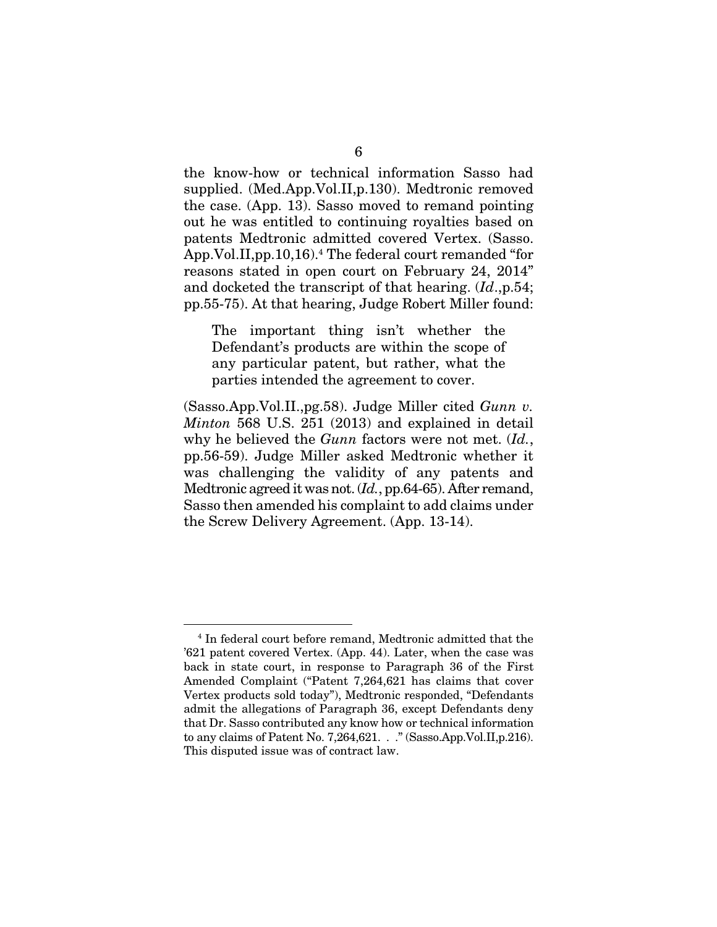the know-how or technical information Sasso had supplied. (Med.App.Vol.II,p.130). Medtronic removed the case. (App. 13). Sasso moved to remand pointing out he was entitled to continuing royalties based on patents Medtronic admitted covered Vertex. (Sasso. App.Vol.II,pp.10,16).4 The federal court remanded "for reasons stated in open court on February 24, 2014" and docketed the transcript of that hearing. (*Id*.,p.54; pp.55-75). At that hearing, Judge Robert Miller found:

The important thing isn't whether the Defendant's products are within the scope of any particular patent, but rather, what the parties intended the agreement to cover.

(Sasso.App.Vol.II.,pg.58). Judge Miller cited *Gunn v. Minton* 568 U.S. 251 (2013) and explained in detail why he believed the *Gunn* factors were not met. (*Id.*, pp.56-59). Judge Miller asked Medtronic whether it was challenging the validity of any patents and Medtronic agreed it was not. (*Id.*, pp.64-65). After remand, Sasso then amended his complaint to add claims under the Screw Delivery Agreement. (App. 13-14).

<sup>4</sup> In federal court before remand, Medtronic admitted that the '621 patent covered Vertex. (App. 44). Later, when the case was back in state court, in response to Paragraph 36 of the First Amended Complaint ("Patent 7,264,621 has claims that cover Vertex products sold today"), Medtronic responded, "Defendants admit the allegations of Paragraph 36, except Defendants deny that Dr. Sasso contributed any know how or technical information to any claims of Patent No. 7,264,621. . ." (Sasso.App.Vol.II,p.216). This disputed issue was of contract law.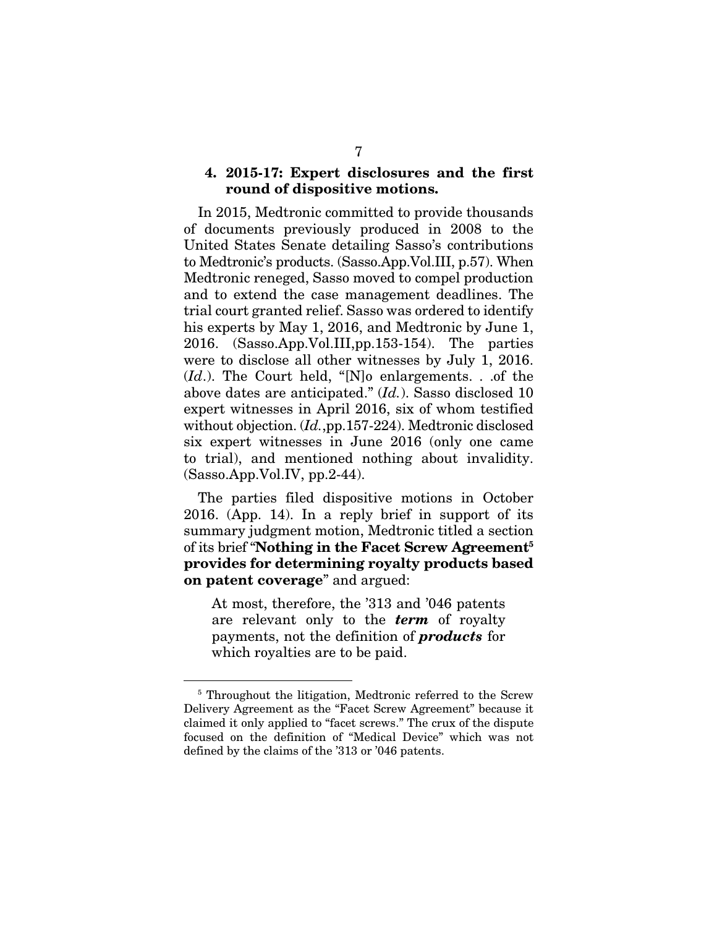#### 4. 2015-17: Expert disclosures and the first round of dispositive motions.

In 2015, Medtronic committed to provide thousands of documents previously produced in 2008 to the United States Senate detailing Sasso's contributions to Medtronic's products. (Sasso.App.Vol.III, p.57). When Medtronic reneged, Sasso moved to compel production and to extend the case management deadlines. The trial court granted relief. Sasso was ordered to identify his experts by May 1, 2016, and Medtronic by June 1, 2016. (Sasso.App.Vol.III,pp.153-154). The parties were to disclose all other witnesses by July 1, 2016. (*Id*.). The Court held, "[N]o enlargements. . .of the above dates are anticipated." (*Id.*). Sasso disclosed 10 expert witnesses in April 2016, six of whom testified without objection. (*Id.*,pp.157-224). Medtronic disclosed six expert witnesses in June 2016 (only one came to trial), and mentioned nothing about invalidity.  $(Sasso.App.Vol.IV, pp.2-44)$ .

The parties filed dispositive motions in October 2016. (App. 14). In a reply brief in support of its summary judgment motion, Medtronic titled a section of its brief "**Nothing in the Facet Screw Agreement**<sup>5</sup> provides for determining royalty products based on patent coverage" and argued:

At most, therefore, the '313 and '046 patents are relevant only to the *term* of royalty payments, not the definition of *products* for which royalties are to be paid.

<sup>&</sup>lt;sup>5</sup> Throughout the litigation, Medtronic referred to the Screw Delivery Agreement as the "Facet Screw Agreement" because it claimed it only applied to "facet screws." The crux of the dispute focused on the definition of "Medical Device" which was not defined by the claims of the '313 or '046 patents.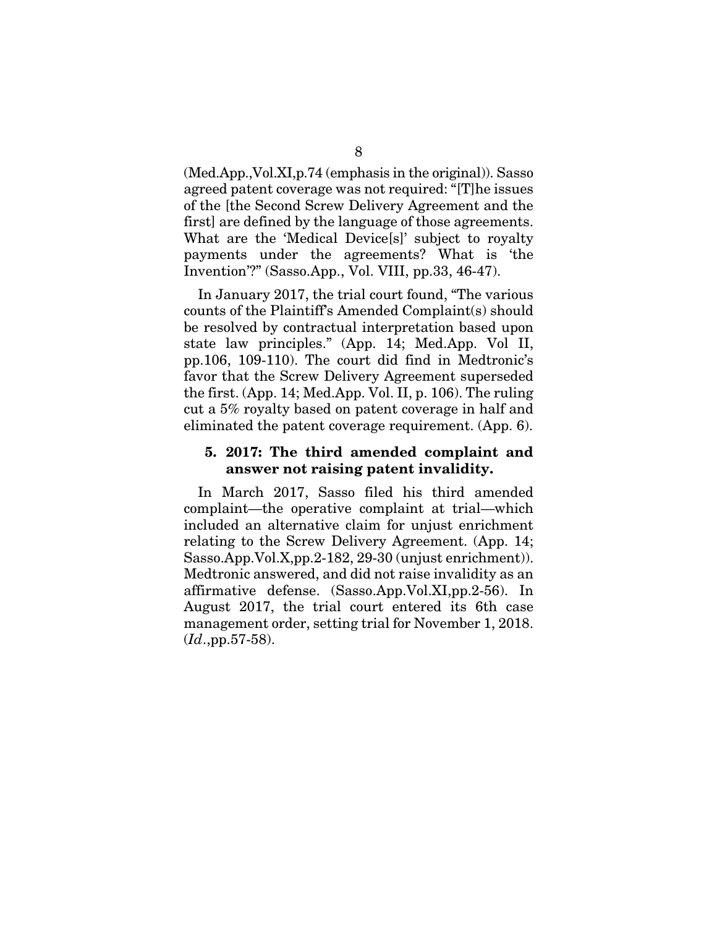(Med.App.,Vol.XI,p.74 (emphasis in the original)). Sasso agreed patent coverage was not required: "[T]he issues of the [the Second Screw Delivery Agreement and the first] are defined by the language of those agreements. What are the 'Medical Device[s]' subject to royalty payments under the agreements? What is 'the Invention'?" (Sasso.App., Vol. VIII, pp.33, 46-47).

In January 2017, the trial court found, "The various counts of the Plaintiff's Amended Complaint(s) should be resolved by contractual interpretation based upon state law principles." (App. 14; Med.App. Vol II, pp.106, 109-110). The court did find in Medtronic's favor that the Screw Delivery Agreement superseded the first. (App. 14; Med.App. Vol. II, p. 106). The ruling cut a 5% royalty based on patent coverage in half and eliminated the patent coverage requirement. (App. 6).

#### 5. 2017: The third amended complaint and answer not raising patent invalidity.

In March 2017, Sasso filed his third amended complaint—the operative complaint at trial—which included an alternative claim for unjust enrichment relating to the Screw Delivery Agreement. (App. 14; Sasso.App.Vol.X,pp.2-182, 29-30 (unjust enrichment)). Medtronic answered, and did not raise invalidity as an affirmative defense. (Sasso.App.Vol.XI,pp.2-56). In August 2017, the trial court entered its 6th case management order, setting trial for November 1, 2018. (*Id*.,pp.57-58).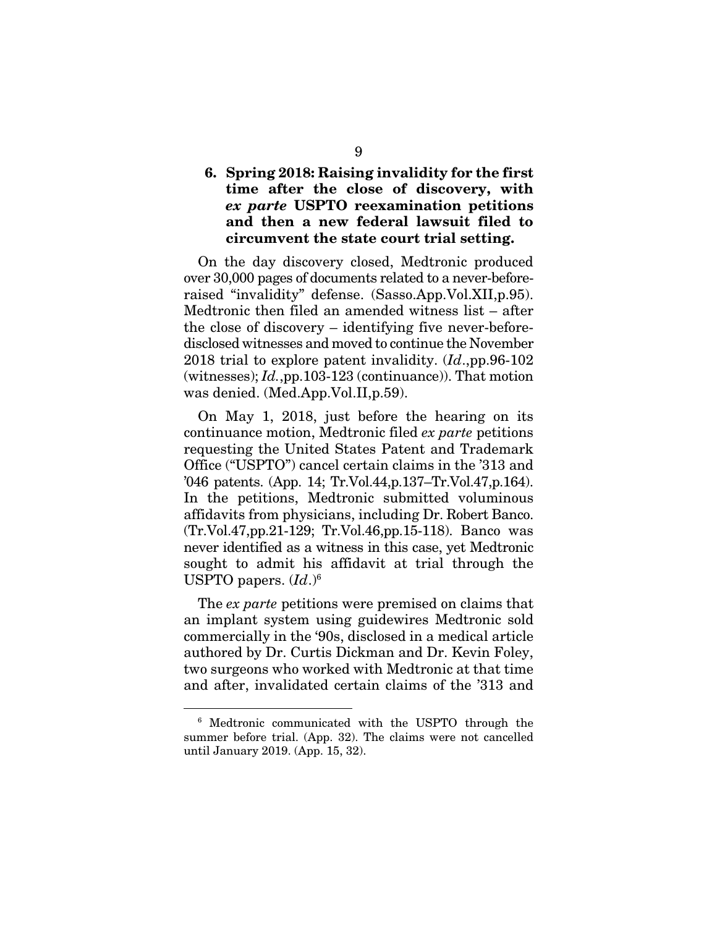### 6. Spring 2018: Raising invalidity for the first time after the close of discovery, with *ex parte* USPTO reexamination petitions and then a new federal lawsuit filed to circumvent the state court trial setting.

On the day discovery closed, Medtronic produced over 30,000 pages of documents related to a never-beforeraised "invalidity" defense. (Sasso.App.Vol.XII,p.95). Medtronic then filed an amended witness list – after the close of discovery – identifying five never-beforedisclosed witnesses and moved to continue the November 2018 trial to explore patent invalidity. (*Id*.,pp.96-102 (witnesses); *Id.*,pp.103-123 (continuance)). That motion was denied. (Med.App.Vol.II,p.59).

On May 1, 2018, just before the hearing on its continuance motion, Medtronic filed *ex parte* petitions requesting the United States Patent and Trademark Office ("USPTO") cancel certain claims in the '313 and '046 patents. (App. 14; Tr.Vol.44,p.137–Tr.Vol.47,p.164). In the petitions, Medtronic submitted voluminous affidavits from physicians, including Dr. Robert Banco. (Tr.Vol.47,pp.21-129; Tr.Vol.46,pp.15-118). Banco was never identified as a witness in this case, yet Medtronic sought to admit his affidavit at trial through the USPTO papers. (*Id*.)6

The *ex parte* petitions were premised on claims that an implant system using guidewires Medtronic sold commercially in the '90s, disclosed in a medical article authored by Dr. Curtis Dickman and Dr. Kevin Foley, two surgeons who worked with Medtronic at that time and after, invalidated certain claims of the '313 and

<sup>6</sup> Medtronic communicated with the USPTO through the summer before trial. (App. 32). The claims were not cancelled until January 2019. (App. 15, 32).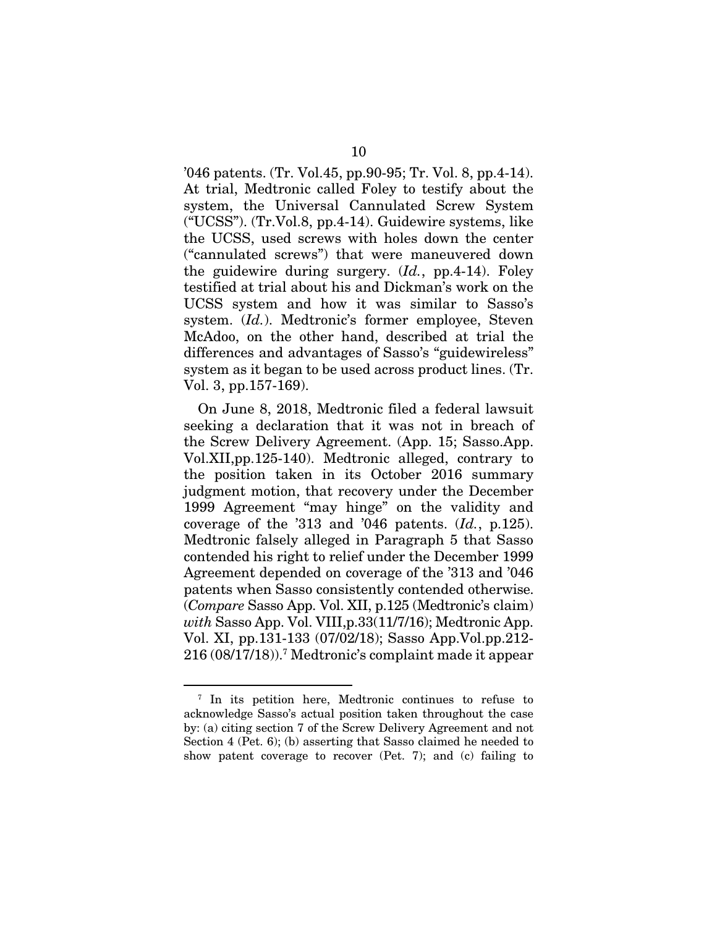'046 patents. (Tr. Vol.45, pp.90-95; Tr. Vol. 8, pp.4-14). At trial, Medtronic called Foley to testify about the system, the Universal Cannulated Screw System ("UCSS"). (Tr.Vol.8, pp.4-14). Guidewire systems, like the UCSS, used screws with holes down the center ("cannulated screws") that were maneuvered down the guidewire during surgery. (*Id.*, pp.4-14). Foley testified at trial about his and Dickman's work on the UCSS system and how it was similar to Sasso's system. (*Id.*). Medtronic's former employee, Steven McAdoo, on the other hand, described at trial the differences and advantages of Sasso's "guidewireless" system as it began to be used across product lines. (Tr. Vol. 3, pp.157-169).

On June 8, 2018, Medtronic filed a federal lawsuit seeking a declaration that it was not in breach of the Screw Delivery Agreement. (App. 15; Sasso.App. Vol.XII,pp.125-140). Medtronic alleged, contrary to the position taken in its October 2016 summary judgment motion, that recovery under the December 1999 Agreement "may hinge" on the validity and coverage of the '313 and '046 patents. (*Id.*, p.125). Medtronic falsely alleged in Paragraph 5 that Sasso contended his right to relief under the December 1999 Agreement depended on coverage of the '313 and '046 patents when Sasso consistently contended otherwise. (*Compare* Sasso App. Vol. XII, p.125 (Medtronic's claim) *with* Sasso App. Vol. VIII,p.33(11/7/16); Medtronic App. Vol. XI, pp.131-133 (07/02/18); Sasso App.Vol.pp.212- 216 (08/17/18)).7 Medtronic's complaint made it appear

<sup>7</sup> In its petition here, Medtronic continues to refuse to acknowledge Sasso's actual position taken throughout the case by: (a) citing section 7 of the Screw Delivery Agreement and not Section 4 (Pet. 6); (b) asserting that Sasso claimed he needed to show patent coverage to recover (Pet. 7); and (c) failing to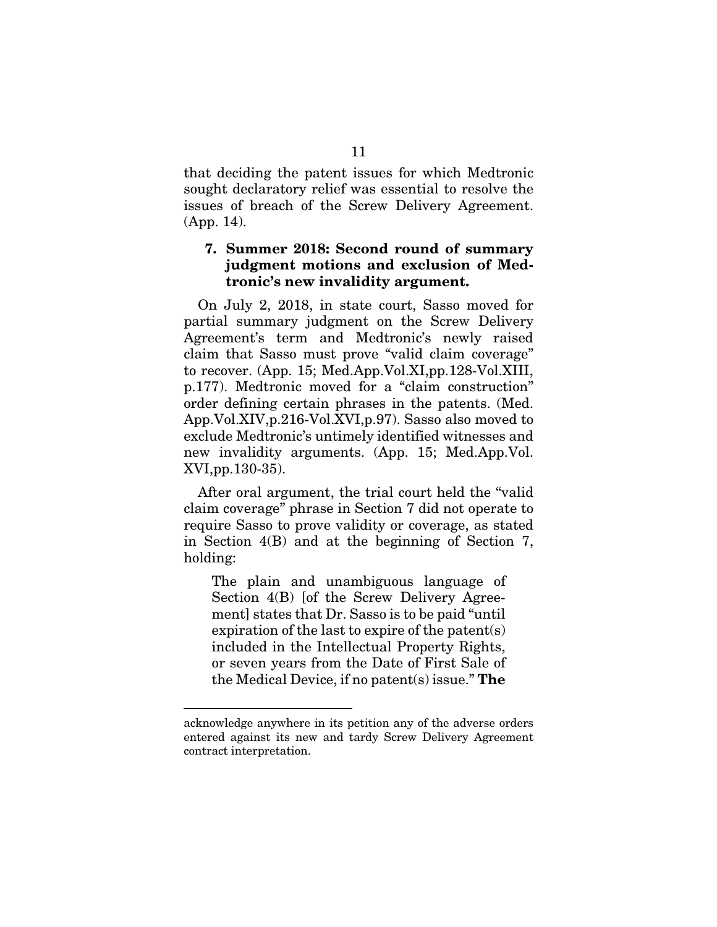that deciding the patent issues for which Medtronic sought declaratory relief was essential to resolve the issues of breach of the Screw Delivery Agreement. (App. 14).

#### 7. Summer 2018: Second round of summary judgment motions and exclusion of Medtronic's new invalidity argument.

On July 2, 2018, in state court, Sasso moved for partial summary judgment on the Screw Delivery Agreement's term and Medtronic's newly raised claim that Sasso must prove "valid claim coverage" to recover. (App. 15; Med.App.Vol.XI,pp.128-Vol.XIII, p.177). Medtronic moved for a "claim construction" order defining certain phrases in the patents. (Med. App.Vol.XIV,p.216-Vol.XVI,p.97). Sasso also moved to exclude Medtronic's untimely identified witnesses and new invalidity arguments. (App. 15; Med.App.Vol. XVI,pp.130-35).

After oral argument, the trial court held the "valid claim coverage" phrase in Section 7 did not operate to require Sasso to prove validity or coverage, as stated in Section 4(B) and at the beginning of Section 7, holding:

The plain and unambiguous language of Section 4(B) [of the Screw Delivery Agreement] states that Dr. Sasso is to be paid "until expiration of the last to expire of the patent(s) included in the Intellectual Property Rights, or seven years from the Date of First Sale of the Medical Device, if no patent(s) issue." The

acknowledge anywhere in its petition any of the adverse orders entered against its new and tardy Screw Delivery Agreement contract interpretation.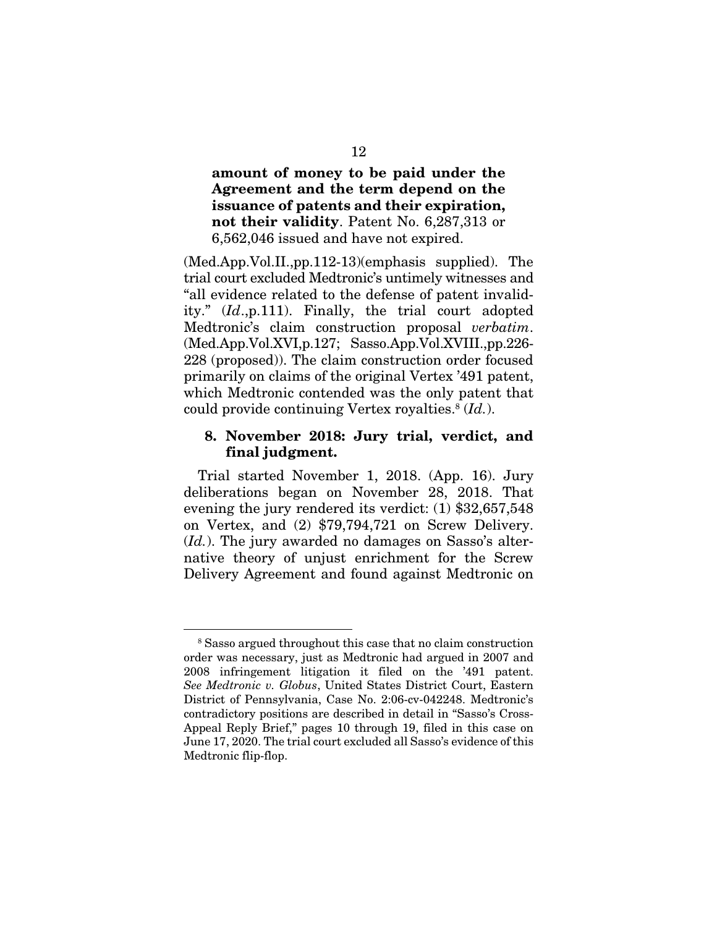amount of money to be paid under the Agreement and the term depend on the issuance of patents and their expiration, not their validity. Patent No. 6,287,313 or 6,562,046 issued and have not expired.

(Med.App.Vol.II.,pp.112-13)(emphasis supplied). The trial court excluded Medtronic's untimely witnesses and "all evidence related to the defense of patent invalidity." (*Id*.,p.111). Finally, the trial court adopted Medtronic's claim construction proposal *verbatim*. (Med.App.Vol.XVI,p.127; Sasso.App.Vol.XVIII.,pp.226- 228 (proposed)). The claim construction order focused primarily on claims of the original Vertex '491 patent, which Medtronic contended was the only patent that could provide continuing Vertex royalties.8 (*Id.*).

#### 8. November 2018: Jury trial, verdict, and final judgment.

Trial started November 1, 2018. (App. 16). Jury deliberations began on November 28, 2018. That evening the jury rendered its verdict: (1) \$32,657,548 on Vertex, and (2) \$79,794,721 on Screw Delivery. (*Id.*). The jury awarded no damages on Sasso's alternative theory of unjust enrichment for the Screw Delivery Agreement and found against Medtronic on

<sup>&</sup>lt;sup>8</sup> Sasso argued throughout this case that no claim construction order was necessary, just as Medtronic had argued in 2007 and 2008 infringement litigation it filed on the '491 patent. *See Medtronic v. Globus*, United States District Court, Eastern District of Pennsylvania, Case No. 2:06-cv-042248. Medtronic's contradictory positions are described in detail in "Sasso's Cross-Appeal Reply Brief," pages 10 through 19, filed in this case on June 17, 2020. The trial court excluded all Sasso's evidence of this Medtronic flip-flop.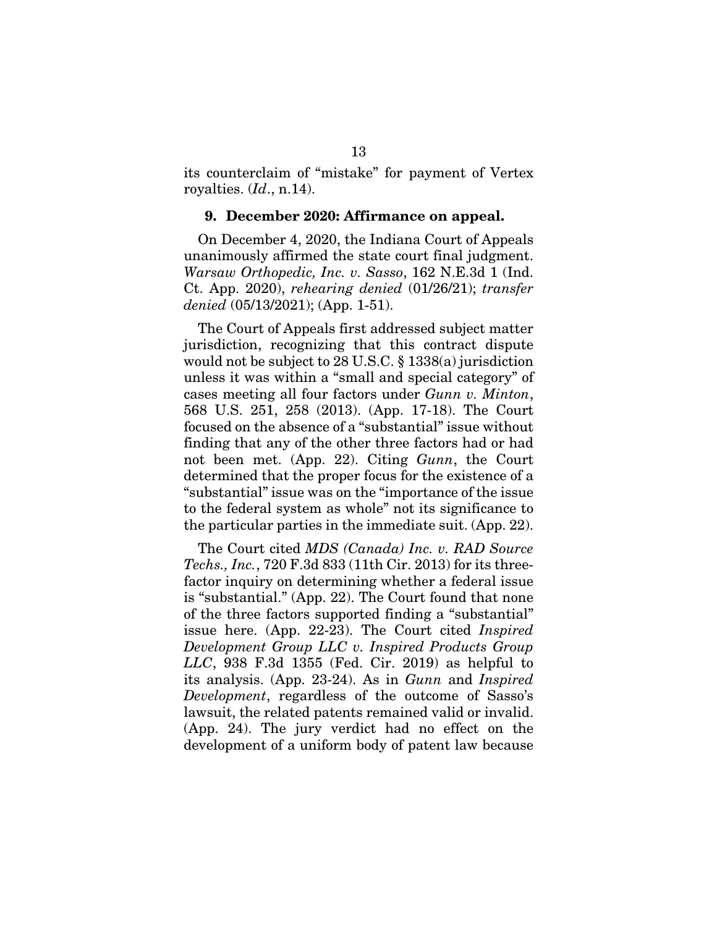its counterclaim of "mistake" for payment of Vertex royalties. (*Id*., n.14).

#### 9. December 2020: Affirmance on appeal.

On December 4, 2020, the Indiana Court of Appeals unanimously affirmed the state court final judgment. *Warsaw Orthopedic, Inc. v. Sasso*, 162 N.E.3d 1 (Ind. Ct. App. 2020), *rehearing denied* (01/26/21); *transfer denied* (05/13/2021); (App. 1-51).

The Court of Appeals first addressed subject matter jurisdiction, recognizing that this contract dispute would not be subject to 28 U.S.C. § 1338(a) jurisdiction unless it was within a "small and special category" of cases meeting all four factors under *Gunn v. Minton*, 568 U.S. 251, 258 (2013). (App. 17-18). The Court focused on the absence of a "substantial" issue without finding that any of the other three factors had or had not been met. (App. 22). Citing *Gunn*, the Court determined that the proper focus for the existence of a "substantial" issue was on the "importance of the issue to the federal system as whole" not its significance to the particular parties in the immediate suit. (App. 22).

The Court cited *MDS (Canada) Inc. v. RAD Source Techs., Inc.*, 720 F.3d 833 (11th Cir. 2013) for its threefactor inquiry on determining whether a federal issue is "substantial." (App. 22). The Court found that none of the three factors supported finding a "substantial" issue here. (App. 22-23). The Court cited *Inspired Development Group LLC v. Inspired Products Group LLC*, 938 F.3d 1355 (Fed. Cir. 2019) as helpful to its analysis. (App. 23-24). As in *Gunn* and *Inspired Development*, regardless of the outcome of Sasso's lawsuit, the related patents remained valid or invalid. (App. 24). The jury verdict had no effect on the development of a uniform body of patent law because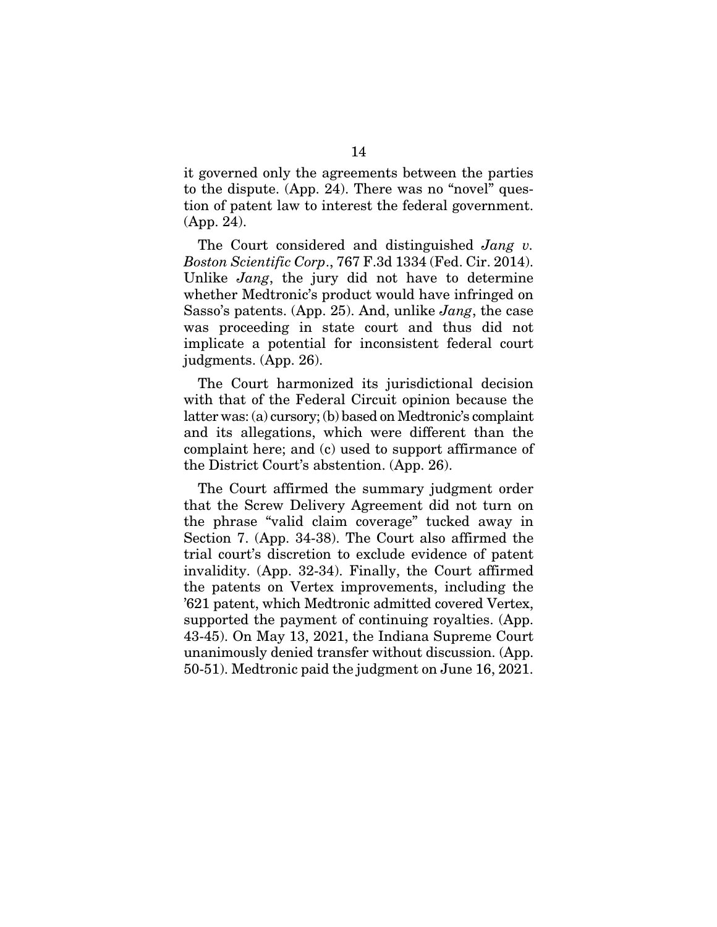it governed only the agreements between the parties to the dispute. (App. 24). There was no "novel" question of patent law to interest the federal government. (App. 24).

The Court considered and distinguished *Jang v. Boston Scientific Corp*., 767 F.3d 1334 (Fed. Cir. 2014). Unlike *Jang*, the jury did not have to determine whether Medtronic's product would have infringed on Sasso's patents. (App. 25). And, unlike *Jang*, the case was proceeding in state court and thus did not implicate a potential for inconsistent federal court judgments. (App. 26).

The Court harmonized its jurisdictional decision with that of the Federal Circuit opinion because the latter was: (a) cursory; (b) based on Medtronic's complaint and its allegations, which were different than the complaint here; and (c) used to support affirmance of the District Court's abstention. (App. 26).

The Court affirmed the summary judgment order that the Screw Delivery Agreement did not turn on the phrase "valid claim coverage" tucked away in Section 7. (App. 34-38). The Court also affirmed the trial court's discretion to exclude evidence of patent invalidity. (App. 32-34). Finally, the Court affirmed the patents on Vertex improvements, including the '621 patent, which Medtronic admitted covered Vertex, supported the payment of continuing royalties. (App. 43-45). On May 13, 2021, the Indiana Supreme Court unanimously denied transfer without discussion. (App. 50-51). Medtronic paid the judgment on June 16, 2021.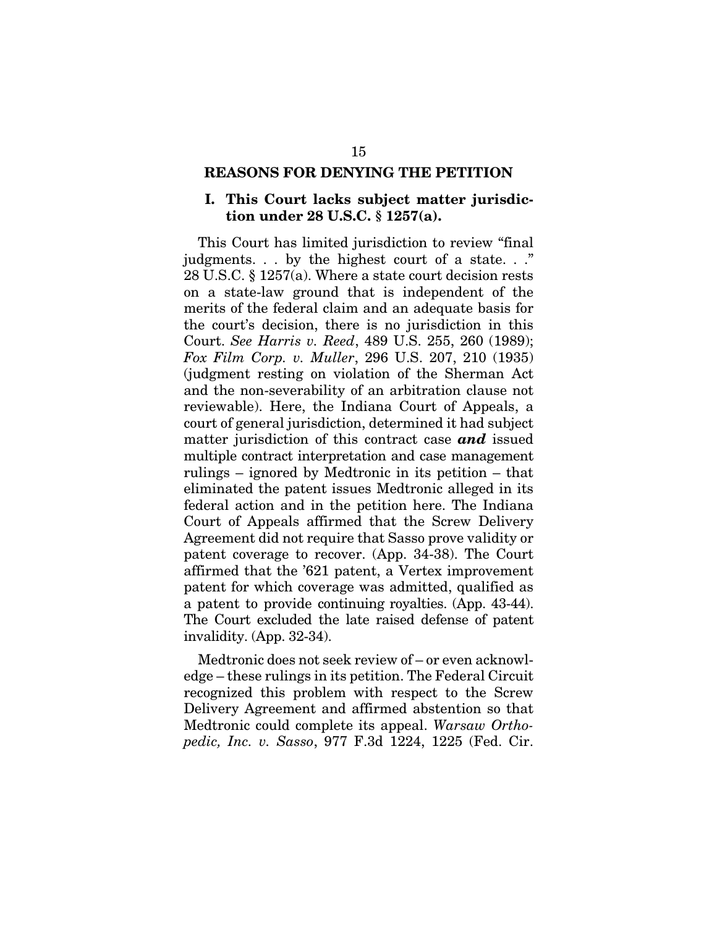#### REASONS FOR DENYING THE PETITION

#### I. This Court lacks subject matter jurisdiction under 28 U.S.C. § 1257(a).

This Court has limited jurisdiction to review "final judgments. . . by the highest court of a state. . ." 28 U.S.C. § 1257(a). Where a state court decision rests on a state-law ground that is independent of the merits of the federal claim and an adequate basis for the court's decision, there is no jurisdiction in this Court. *See Harris v. Reed*, 489 U.S. 255, 260 (1989); *Fox Film Corp. v. Muller*, 296 U.S. 207, 210 (1935) (judgment resting on violation of the Sherman Act and the non-severability of an arbitration clause not reviewable). Here, the Indiana Court of Appeals, a court of general jurisdiction, determined it had subject matter jurisdiction of this contract case *and* issued multiple contract interpretation and case management rulings – ignored by Medtronic in its petition – that eliminated the patent issues Medtronic alleged in its federal action and in the petition here. The Indiana Court of Appeals affirmed that the Screw Delivery Agreement did not require that Sasso prove validity or patent coverage to recover. (App. 34-38). The Court affirmed that the '621 patent, a Vertex improvement patent for which coverage was admitted, qualified as a patent to provide continuing royalties. (App. 43-44). The Court excluded the late raised defense of patent invalidity. (App. 32-34).

Medtronic does not seek review of – or even acknowledge – these rulings in its petition. The Federal Circuit recognized this problem with respect to the Screw Delivery Agreement and affirmed abstention so that Medtronic could complete its appeal. *Warsaw Orthopedic, Inc. v. Sasso*, 977 F.3d 1224, 1225 (Fed. Cir.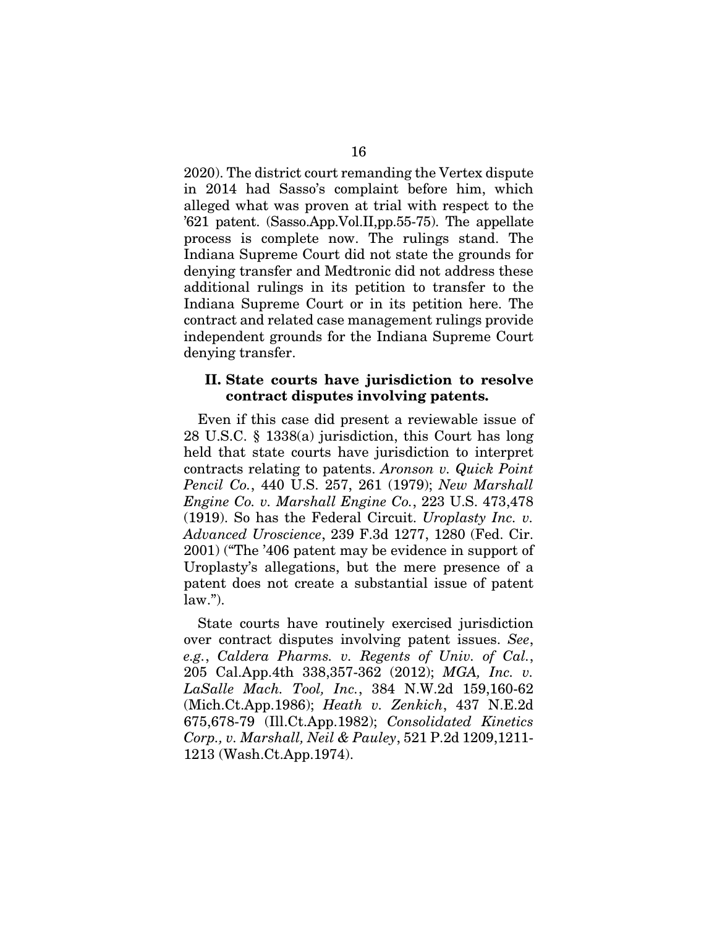2020). The district court remanding the Vertex dispute in 2014 had Sasso's complaint before him, which alleged what was proven at trial with respect to the '621 patent. (Sasso.App.Vol.II,pp.55-75). The appellate process is complete now. The rulings stand. The Indiana Supreme Court did not state the grounds for denying transfer and Medtronic did not address these additional rulings in its petition to transfer to the Indiana Supreme Court or in its petition here. The contract and related case management rulings provide independent grounds for the Indiana Supreme Court denying transfer.

#### II. State courts have jurisdiction to resolve contract disputes involving patents.

Even if this case did present a reviewable issue of 28 U.S.C. § 1338(a) jurisdiction, this Court has long held that state courts have jurisdiction to interpret contracts relating to patents. *Aronson v. Quick Point Pencil Co.*, 440 U.S. 257, 261 (1979); *New Marshall Engine Co. v. Marshall Engine Co.*, 223 U.S. 473,478 (1919). So has the Federal Circuit. *Uroplasty Inc. v. Advanced Uroscience*, 239 F.3d 1277, 1280 (Fed. Cir. 2001) ("The '406 patent may be evidence in support of Uroplasty's allegations, but the mere presence of a patent does not create a substantial issue of patent  $law.'$ ).

State courts have routinely exercised jurisdiction over contract disputes involving patent issues. *See*, *e.g.*, *Caldera Pharms. v. Regents of Univ. of Cal.*, 205 Cal.App.4th 338,357-362 (2012); *MGA, Inc. v. LaSalle Mach. Tool, Inc.*, 384 N.W.2d 159,160-62 (Mich.Ct.App.1986); *Heath v. Zenkich*, 437 N.E.2d 675,678-79 (Ill.Ct.App.1982); *Consolidated Kinetics Corp., v. Marshall, Neil & Pauley*, 521 P.2d 1209,1211- 1213 (Wash.Ct.App.1974).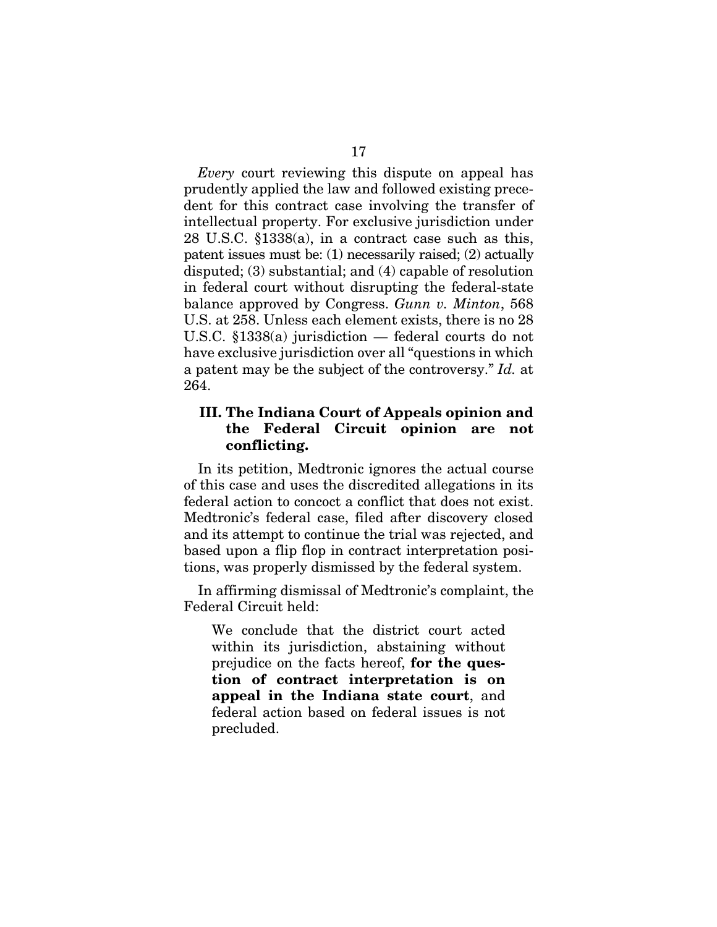*Every* court reviewing this dispute on appeal has prudently applied the law and followed existing precedent for this contract case involving the transfer of intellectual property. For exclusive jurisdiction under 28 U.S.C. §1338(a), in a contract case such as this, patent issues must be: (1) necessarily raised; (2) actually disputed; (3) substantial; and (4) capable of resolution in federal court without disrupting the federal-state balance approved by Congress. *Gunn v. Minton*, 568 U.S. at 258. Unless each element exists, there is no 28 U.S.C. §1338(a) jurisdiction — federal courts do not have exclusive jurisdiction over all "questions in which a patent may be the subject of the controversy." *Id.* at 264.

#### III. The Indiana Court of Appeals opinion and the Federal Circuit opinion are not conflicting.

In its petition, Medtronic ignores the actual course of this case and uses the discredited allegations in its federal action to concoct a conflict that does not exist. Medtronic's federal case, filed after discovery closed and its attempt to continue the trial was rejected, and based upon a flip flop in contract interpretation positions, was properly dismissed by the federal system.

In affirming dismissal of Medtronic's complaint, the Federal Circuit held:

We conclude that the district court acted within its jurisdiction, abstaining without prejudice on the facts hereof, for the question of contract interpretation is on appeal in the Indiana state court, and federal action based on federal issues is not precluded.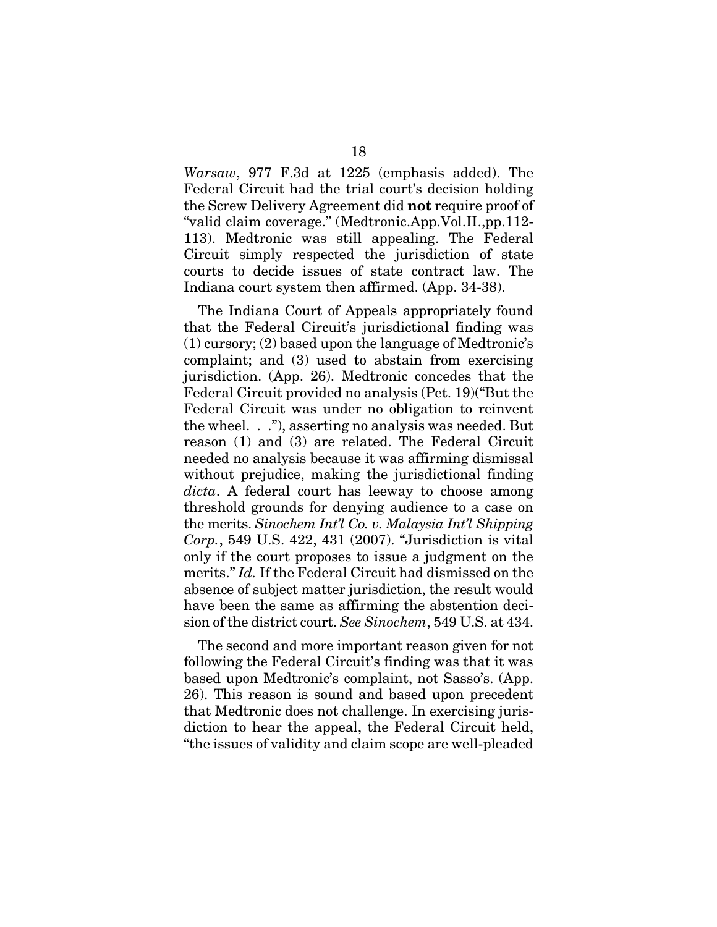*Warsaw*, 977 F.3d at 1225 (emphasis added). The Federal Circuit had the trial court's decision holding the Screw Delivery Agreement did not require proof of "valid claim coverage." (Medtronic.App.Vol.II.,pp.112- 113). Medtronic was still appealing. The Federal Circuit simply respected the jurisdiction of state courts to decide issues of state contract law. The Indiana court system then affirmed. (App. 34-38).

The Indiana Court of Appeals appropriately found that the Federal Circuit's jurisdictional finding was (1) cursory; (2) based upon the language of Medtronic's complaint; and (3) used to abstain from exercising jurisdiction. (App. 26). Medtronic concedes that the Federal Circuit provided no analysis (Pet. 19)("But the Federal Circuit was under no obligation to reinvent the wheel. . ."), asserting no analysis was needed. But reason (1) and (3) are related. The Federal Circuit needed no analysis because it was affirming dismissal without prejudice, making the jurisdictional finding *dicta*. A federal court has leeway to choose among threshold grounds for denying audience to a case on the merits. *Sinochem Int'l Co. v. Malaysia Int'l Shipping Corp.*, 549 U.S. 422, 431 (2007). "Jurisdiction is vital only if the court proposes to issue a judgment on the merits." *Id.* If the Federal Circuit had dismissed on the absence of subject matter jurisdiction, the result would have been the same as affirming the abstention decision of the district court. *See Sinochem*, 549 U.S. at 434.

The second and more important reason given for not following the Federal Circuit's finding was that it was based upon Medtronic's complaint, not Sasso's. (App. 26). This reason is sound and based upon precedent that Medtronic does not challenge. In exercising jurisdiction to hear the appeal, the Federal Circuit held, "the issues of validity and claim scope are well-pleaded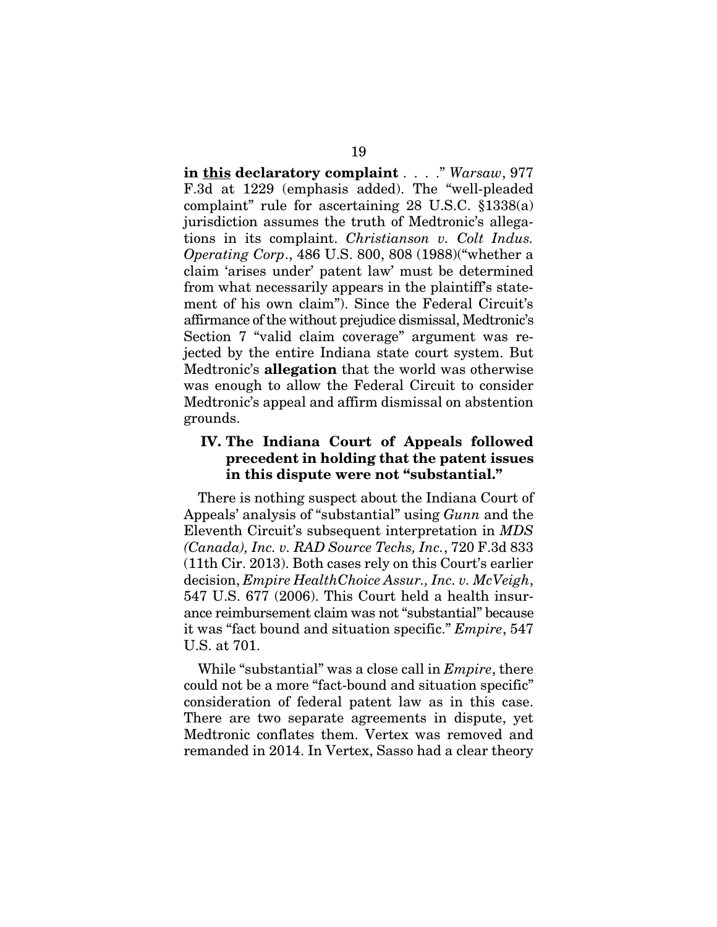in this declaratory complaint . . . . " *Warsaw*, 977 F.3d at 1229 (emphasis added). The "well-pleaded complaint" rule for ascertaining 28 U.S.C. §1338(a) jurisdiction assumes the truth of Medtronic's allegations in its complaint. *Christianson v. Colt Indus. Operating Corp*., 486 U.S. 800, 808 (1988)("whether a claim 'arises under' patent law' must be determined from what necessarily appears in the plaintiff's statement of his own claim"). Since the Federal Circuit's affirmance of the without prejudice dismissal, Medtronic's Section 7 "valid claim coverage" argument was rejected by the entire Indiana state court system. But Medtronic's allegation that the world was otherwise was enough to allow the Federal Circuit to consider Medtronic's appeal and affirm dismissal on abstention grounds.

#### IV. The Indiana Court of Appeals followed precedent in holding that the patent issues in this dispute were not "substantial."

There is nothing suspect about the Indiana Court of Appeals' analysis of "substantial" using *Gunn* and the Eleventh Circuit's subsequent interpretation in *MDS (Canada), Inc. v. RAD Source Techs, Inc.*, 720 F.3d 833 (11th Cir. 2013). Both cases rely on this Court's earlier decision, *Empire HealthChoice Assur., Inc. v. McVeigh*, 547 U.S. 677 (2006). This Court held a health insurance reimbursement claim was not "substantial" because it was "fact bound and situation specific." *Empire*, 547 U.S. at 701.

While "substantial" was a close call in *Empire*, there could not be a more "fact-bound and situation specific" consideration of federal patent law as in this case. There are two separate agreements in dispute, yet Medtronic conflates them. Vertex was removed and remanded in 2014. In Vertex, Sasso had a clear theory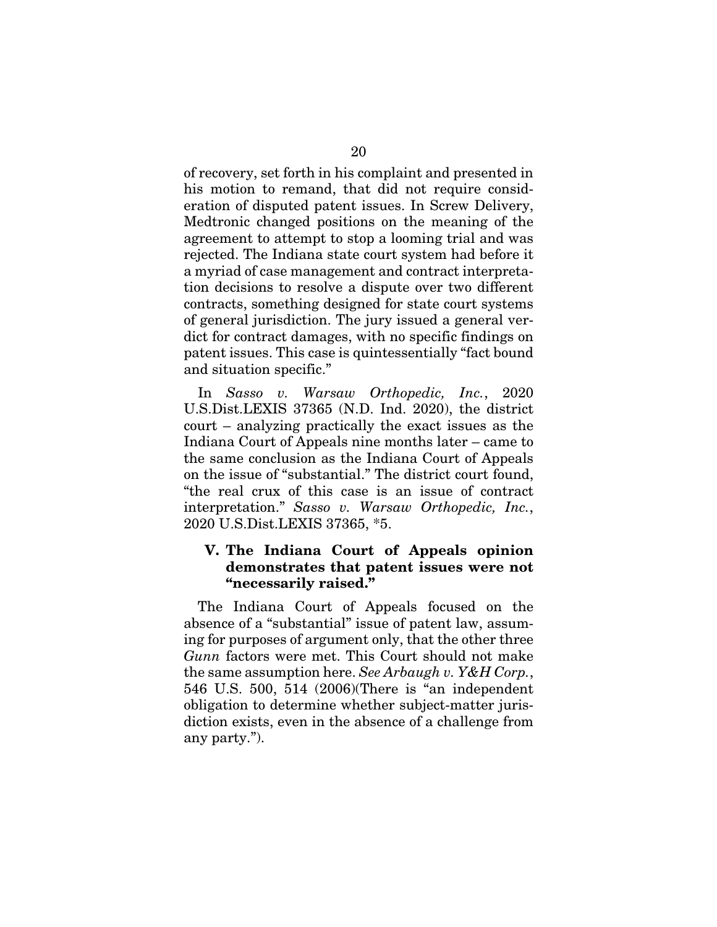of recovery, set forth in his complaint and presented in his motion to remand, that did not require consideration of disputed patent issues. In Screw Delivery, Medtronic changed positions on the meaning of the agreement to attempt to stop a looming trial and was rejected. The Indiana state court system had before it a myriad of case management and contract interpretation decisions to resolve a dispute over two different contracts, something designed for state court systems of general jurisdiction. The jury issued a general verdict for contract damages, with no specific findings on patent issues. This case is quintessentially "fact bound and situation specific."

In *Sasso v. Warsaw Orthopedic, Inc.*, 2020 U.S.Dist.LEXIS 37365 (N.D. Ind. 2020), the district court – analyzing practically the exact issues as the Indiana Court of Appeals nine months later – came to the same conclusion as the Indiana Court of Appeals on the issue of "substantial." The district court found, "the real crux of this case is an issue of contract interpretation." *Sasso v. Warsaw Orthopedic, Inc.*, 2020 U.S.Dist.LEXIS 37365, \*5.

#### V. The Indiana Court of Appeals opinion demonstrates that patent issues were not "necessarily raised."

The Indiana Court of Appeals focused on the absence of a "substantial" issue of patent law, assuming for purposes of argument only, that the other three *Gunn* factors were met. This Court should not make the same assumption here. *See Arbaugh v. Y&H Corp.*, 546 U.S. 500, 514 (2006)(There is "an independent obligation to determine whether subject-matter jurisdiction exists, even in the absence of a challenge from any party.").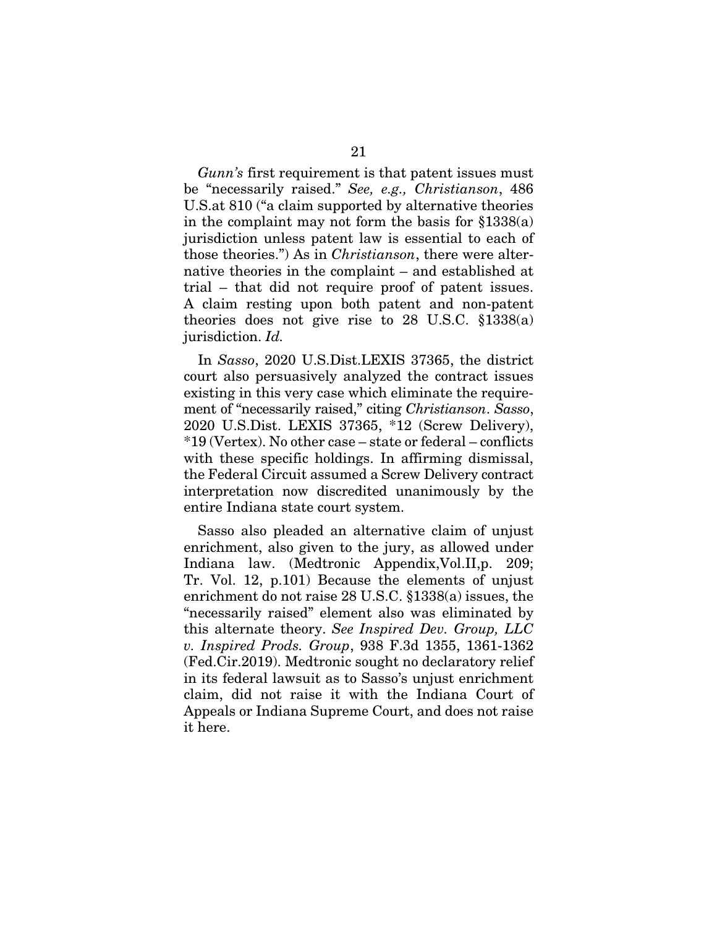*Gunn's* first requirement is that patent issues must be "necessarily raised." *See, e.g., Christianson*, 486 U.S.at 810 ("a claim supported by alternative theories in the complaint may not form the basis for §1338(a) jurisdiction unless patent law is essential to each of those theories.") As in *Christianson*, there were alternative theories in the complaint – and established at trial – that did not require proof of patent issues. A claim resting upon both patent and non-patent theories does not give rise to 28 U.S.C.  $$1338(a)$ jurisdiction. *Id.*

In *Sasso*, 2020 U.S.Dist.LEXIS 37365, the district court also persuasively analyzed the contract issues existing in this very case which eliminate the requirement of "necessarily raised," citing *Christianson*. *Sasso*, 2020 U.S.Dist. LEXIS 37365, \*12 (Screw Delivery), \*19 (Vertex). No other case – state or federal – conflicts with these specific holdings. In affirming dismissal, the Federal Circuit assumed a Screw Delivery contract interpretation now discredited unanimously by the entire Indiana state court system.

Sasso also pleaded an alternative claim of unjust enrichment, also given to the jury, as allowed under Indiana law. (Medtronic Appendix,Vol.II,p. 209; Tr. Vol. 12, p.101) Because the elements of unjust enrichment do not raise 28 U.S.C. §1338(a) issues, the "necessarily raised" element also was eliminated by this alternate theory. *See Inspired Dev. Group, LLC v. Inspired Prods. Group*, 938 F.3d 1355, 1361-1362 (Fed.Cir.2019). Medtronic sought no declaratory relief in its federal lawsuit as to Sasso's unjust enrichment claim, did not raise it with the Indiana Court of Appeals or Indiana Supreme Court, and does not raise it here.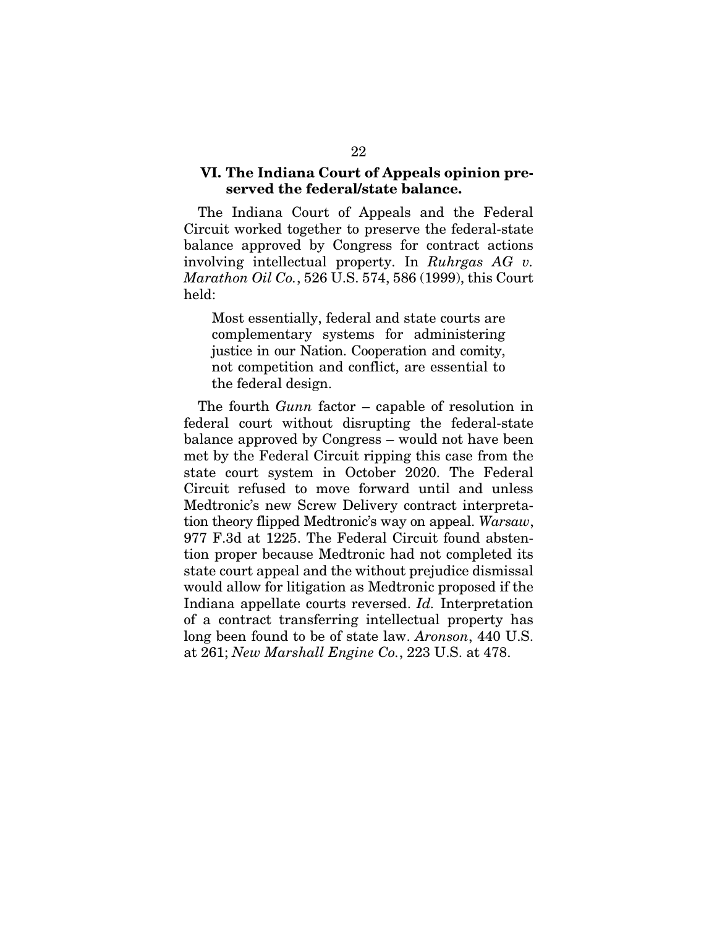#### VI. The Indiana Court of Appeals opinion preserved the federal/state balance.

The Indiana Court of Appeals and the Federal Circuit worked together to preserve the federal-state balance approved by Congress for contract actions involving intellectual property. In *Ruhrgas AG v. Marathon Oil Co.*, 526 U.S. 574, 586 (1999), this Court held:

Most essentially, federal and state courts are complementary systems for administering justice in our Nation. Cooperation and comity, not competition and conflict, are essential to the federal design.

The fourth *Gunn* factor – capable of resolution in federal court without disrupting the federal-state balance approved by Congress – would not have been met by the Federal Circuit ripping this case from the state court system in October 2020. The Federal Circuit refused to move forward until and unless Medtronic's new Screw Delivery contract interpretation theory flipped Medtronic's way on appeal. *Warsaw*, 977 F.3d at 1225. The Federal Circuit found abstention proper because Medtronic had not completed its state court appeal and the without prejudice dismissal would allow for litigation as Medtronic proposed if the Indiana appellate courts reversed. *Id.* Interpretation of a contract transferring intellectual property has long been found to be of state law. *Aronson*, 440 U.S. at 261; *New Marshall Engine Co.*, 223 U.S. at 478.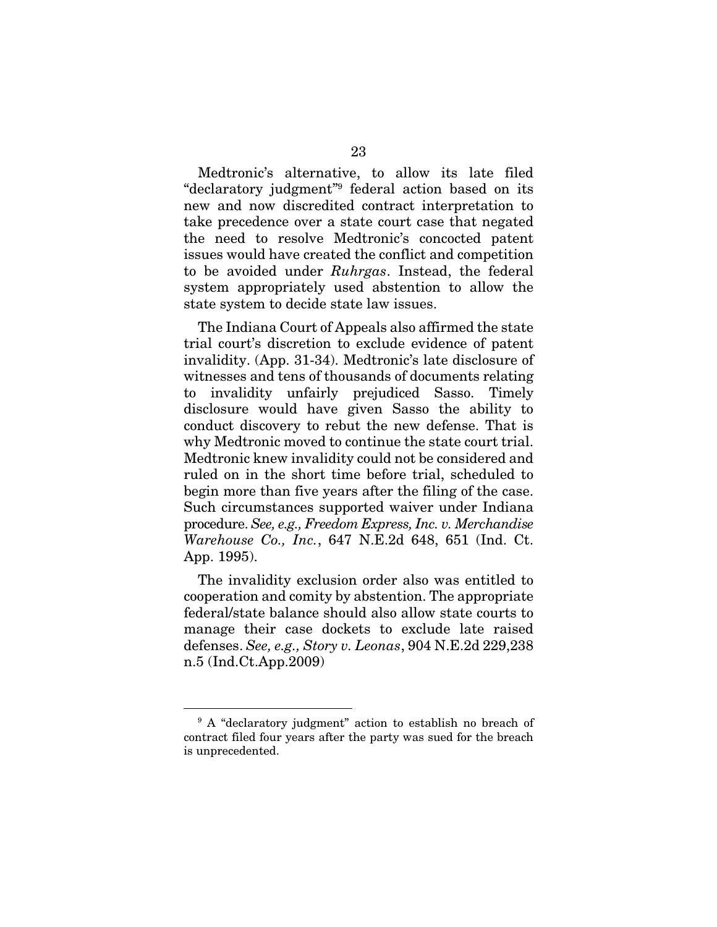Medtronic's alternative, to allow its late filed "declaratory judgment"9 federal action based on its new and now discredited contract interpretation to take precedence over a state court case that negated the need to resolve Medtronic's concocted patent issues would have created the conflict and competition to be avoided under *Ruhrgas*. Instead, the federal system appropriately used abstention to allow the state system to decide state law issues.

The Indiana Court of Appeals also affirmed the state trial court's discretion to exclude evidence of patent invalidity. (App. 31-34). Medtronic's late disclosure of witnesses and tens of thousands of documents relating to invalidity unfairly prejudiced Sasso. Timely disclosure would have given Sasso the ability to conduct discovery to rebut the new defense. That is why Medtronic moved to continue the state court trial. Medtronic knew invalidity could not be considered and ruled on in the short time before trial, scheduled to begin more than five years after the filing of the case. Such circumstances supported waiver under Indiana procedure. *See, e.g., Freedom Express, Inc. v. Merchandise Warehouse Co., Inc.*, 647 N.E.2d 648, 651 (Ind. Ct. App. 1995).

The invalidity exclusion order also was entitled to cooperation and comity by abstention. The appropriate federal/state balance should also allow state courts to manage their case dockets to exclude late raised defenses. *See, e.g., Story v. Leonas*, 904 N.E.2d 229,238 n.5 (Ind.Ct.App.2009)

<sup>&</sup>lt;sup>9</sup> A "declaratory judgment" action to establish no breach of contract filed four years after the party was sued for the breach is unprecedented.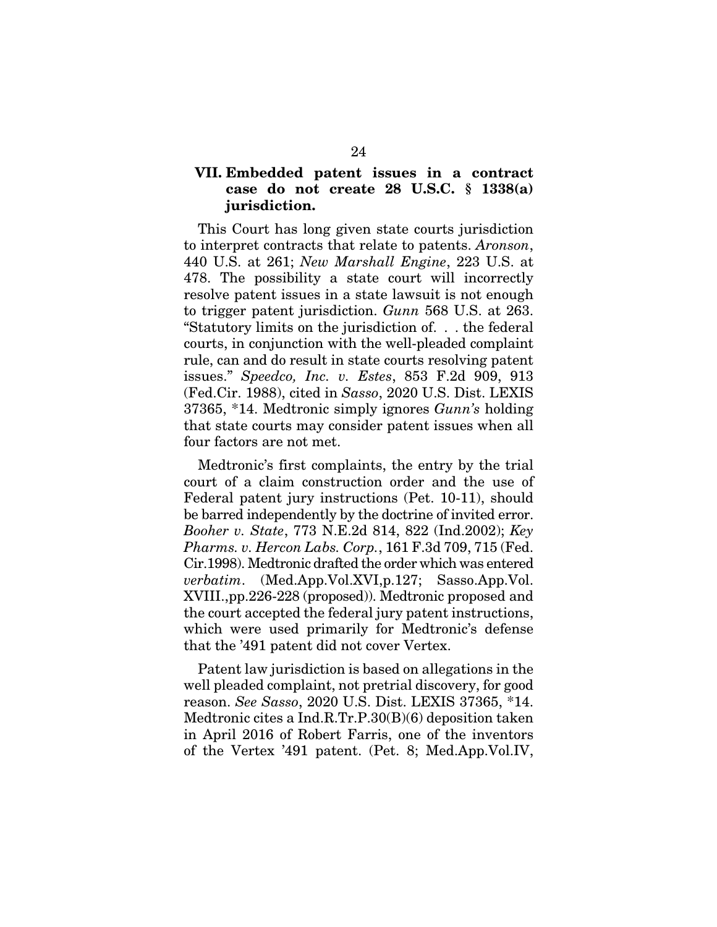### VII. Embedded patent issues in a contract case do not create 28 U.S.C. § 1338(a) jurisdiction.

This Court has long given state courts jurisdiction to interpret contracts that relate to patents. *Aronson*, 440 U.S. at 261; *New Marshall Engine*, 223 U.S. at 478. The possibility a state court will incorrectly resolve patent issues in a state lawsuit is not enough to trigger patent jurisdiction. *Gunn* 568 U.S. at 263. "Statutory limits on the jurisdiction of. . . the federal courts, in conjunction with the well-pleaded complaint rule, can and do result in state courts resolving patent issues." *Speedco, Inc. v. Estes*, 853 F.2d 909, 913 (Fed.Cir. 1988), cited in *Sasso*, 2020 U.S. Dist. LEXIS 37365, \*14. Medtronic simply ignores *Gunn's* holding that state courts may consider patent issues when all four factors are not met.

Medtronic's first complaints, the entry by the trial court of a claim construction order and the use of Federal patent jury instructions (Pet. 10-11), should be barred independently by the doctrine of invited error. *Booher v. State*, 773 N.E.2d 814, 822 (Ind.2002); *Key Pharms. v. Hercon Labs. Corp.*, 161 F.3d 709, 715 (Fed. Cir.1998). Medtronic drafted the order which was entered *verbatim*. (Med.App.Vol.XVI,p.127; Sasso.App.Vol. XVIII.,pp.226-228 (proposed)). Medtronic proposed and the court accepted the federal jury patent instructions, which were used primarily for Medtronic's defense that the '491 patent did not cover Vertex.

Patent law jurisdiction is based on allegations in the well pleaded complaint, not pretrial discovery, for good reason. *See Sasso*, 2020 U.S. Dist. LEXIS 37365, \*14. Medtronic cites a Ind.R.Tr.P.30(B)(6) deposition taken in April 2016 of Robert Farris, one of the inventors of the Vertex '491 patent. (Pet. 8; Med.App.Vol.IV,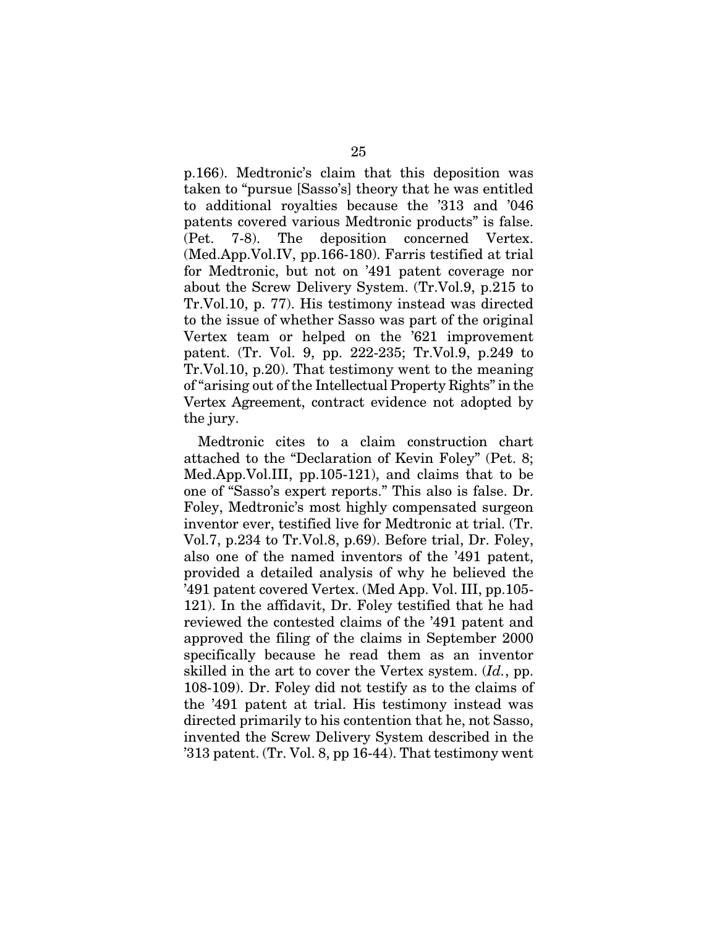p.166). Medtronic's claim that this deposition was taken to "pursue [Sasso's] theory that he was entitled to additional royalties because the '313 and '046 patents covered various Medtronic products" is false. (Pet. 7-8). The deposition concerned Vertex. (Med.App.Vol.IV, pp.166-180). Farris testified at trial for Medtronic, but not on '491 patent coverage nor about the Screw Delivery System. (Tr.Vol.9, p.215 to Tr.Vol.10, p. 77). His testimony instead was directed to the issue of whether Sasso was part of the original Vertex team or helped on the '621 improvement patent. (Tr. Vol. 9, pp. 222-235; Tr.Vol.9, p.249 to Tr.Vol.10, p.20). That testimony went to the meaning of "arising out of the Intellectual Property Rights" in the Vertex Agreement, contract evidence not adopted by the jury.

Medtronic cites to a claim construction chart attached to the "Declaration of Kevin Foley" (Pet. 8; Med.App.Vol.III, pp.105-121), and claims that to be one of "Sasso's expert reports." This also is false. Dr. Foley, Medtronic's most highly compensated surgeon inventor ever, testified live for Medtronic at trial. (Tr. Vol.7, p.234 to Tr.Vol.8, p.69). Before trial, Dr. Foley, also one of the named inventors of the '491 patent, provided a detailed analysis of why he believed the '491 patent covered Vertex. (Med App. Vol. III, pp.105- 121). In the affidavit, Dr. Foley testified that he had reviewed the contested claims of the '491 patent and approved the filing of the claims in September 2000 specifically because he read them as an inventor skilled in the art to cover the Vertex system. (*Id.*, pp. 108-109). Dr. Foley did not testify as to the claims of the '491 patent at trial. His testimony instead was directed primarily to his contention that he, not Sasso, invented the Screw Delivery System described in the '313 patent. (Tr. Vol. 8, pp 16-44). That testimony went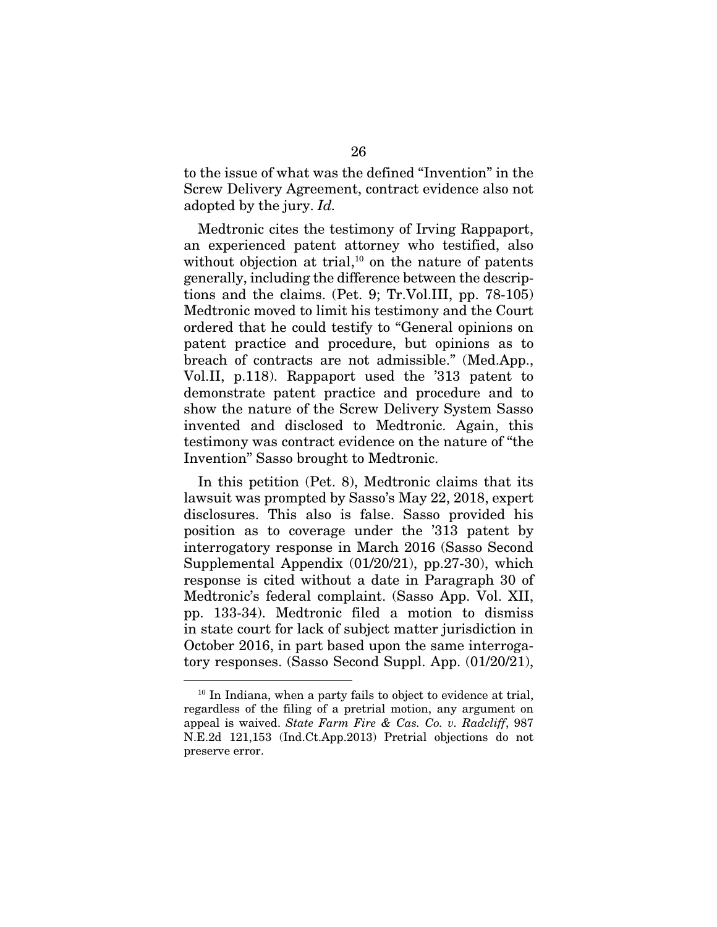to the issue of what was the defined "Invention" in the Screw Delivery Agreement, contract evidence also not adopted by the jury. *Id.*

Medtronic cites the testimony of Irving Rappaport, an experienced patent attorney who testified, also without objection at trial, $10$  on the nature of patents generally, including the difference between the descriptions and the claims. (Pet. 9; Tr.Vol.III, pp. 78-105) Medtronic moved to limit his testimony and the Court ordered that he could testify to "General opinions on patent practice and procedure, but opinions as to breach of contracts are not admissible." (Med.App., Vol.II, p.118). Rappaport used the '313 patent to demonstrate patent practice and procedure and to show the nature of the Screw Delivery System Sasso invented and disclosed to Medtronic. Again, this testimony was contract evidence on the nature of "the Invention" Sasso brought to Medtronic.

In this petition (Pet. 8), Medtronic claims that its lawsuit was prompted by Sasso's May 22, 2018, expert disclosures. This also is false. Sasso provided his position as to coverage under the '313 patent by interrogatory response in March 2016 (Sasso Second Supplemental Appendix (01/20/21), pp.27-30), which response is cited without a date in Paragraph 30 of Medtronic's federal complaint. (Sasso App. Vol. XII, pp. 133-34). Medtronic filed a motion to dismiss in state court for lack of subject matter jurisdiction in October 2016, in part based upon the same interrogatory responses. (Sasso Second Suppl. App. (01/20/21),

<sup>10</sup> In Indiana, when a party fails to object to evidence at trial, regardless of the filing of a pretrial motion, any argument on appeal is waived. *State Farm Fire & Cas. Co. v. Radcliff*, 987 N.E.2d 121,153 (Ind.Ct.App.2013) Pretrial objections do not preserve error.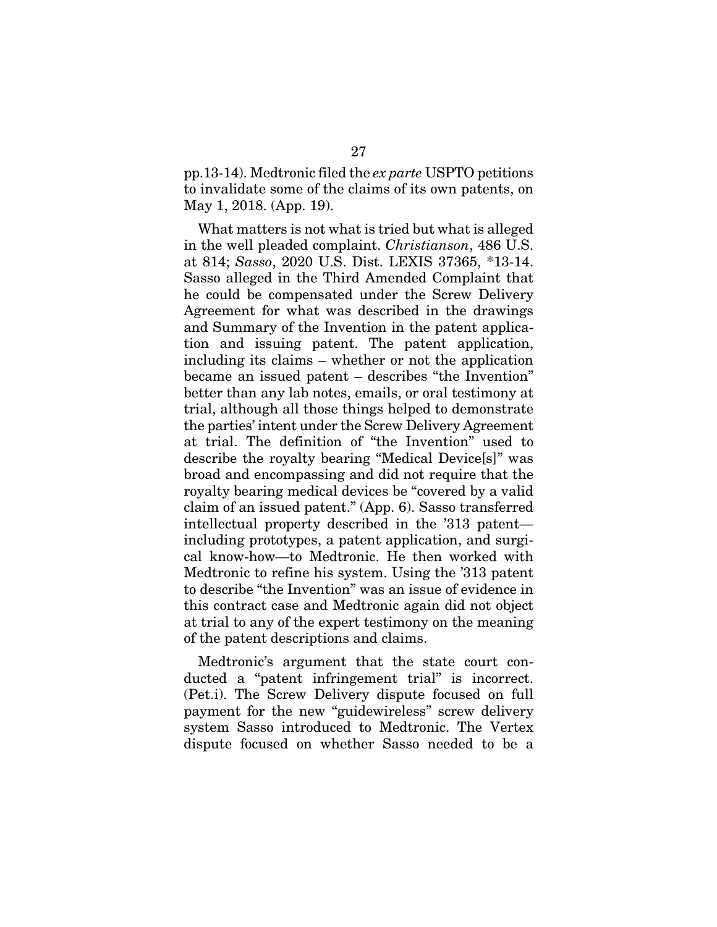pp.13-14). Medtronic filed the *ex parte* USPTO petitions to invalidate some of the claims of its own patents, on May 1, 2018. (App. 19).

What matters is not what is tried but what is alleged in the well pleaded complaint. *Christianson*, 486 U.S. at 814; *Sasso*, 2020 U.S. Dist. LEXIS 37365, \*13-14. Sasso alleged in the Third Amended Complaint that he could be compensated under the Screw Delivery Agreement for what was described in the drawings and Summary of the Invention in the patent application and issuing patent. The patent application, including its claims – whether or not the application became an issued patent – describes "the Invention" better than any lab notes, emails, or oral testimony at trial, although all those things helped to demonstrate the parties' intent under the Screw Delivery Agreement at trial. The definition of "the Invention" used to describe the royalty bearing "Medical Device[s]" was broad and encompassing and did not require that the royalty bearing medical devices be "covered by a valid claim of an issued patent." (App. 6). Sasso transferred intellectual property described in the '313 patent including prototypes, a patent application, and surgical know-how—to Medtronic. He then worked with Medtronic to refine his system. Using the '313 patent to describe "the Invention" was an issue of evidence in this contract case and Medtronic again did not object at trial to any of the expert testimony on the meaning of the patent descriptions and claims.

Medtronic's argument that the state court conducted a "patent infringement trial" is incorrect. (Pet.i). The Screw Delivery dispute focused on full payment for the new "guidewireless" screw delivery system Sasso introduced to Medtronic. The Vertex dispute focused on whether Sasso needed to be a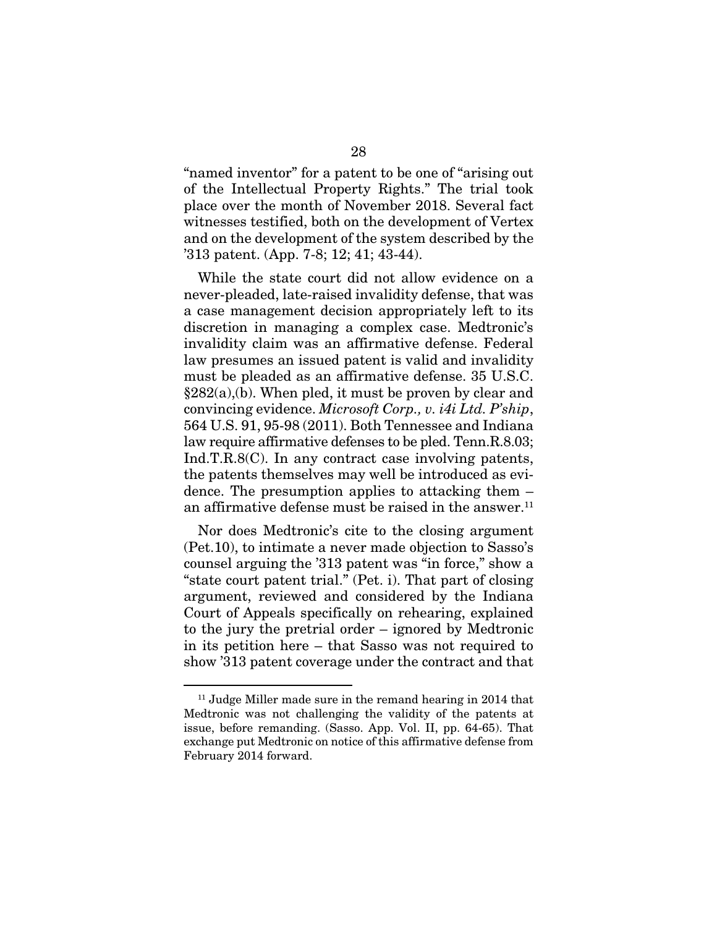"named inventor" for a patent to be one of "arising out of the Intellectual Property Rights." The trial took place over the month of November 2018. Several fact witnesses testified, both on the development of Vertex and on the development of the system described by the '313 patent. (App. 7-8; 12; 41; 43-44).

While the state court did not allow evidence on a never-pleaded, late-raised invalidity defense, that was a case management decision appropriately left to its discretion in managing a complex case. Medtronic's invalidity claim was an affirmative defense. Federal law presumes an issued patent is valid and invalidity must be pleaded as an affirmative defense. 35 U.S.C. §282(a),(b). When pled, it must be proven by clear and convincing evidence. *Microsoft Corp., v. i4i Ltd. P'ship*, 564 U.S. 91, 95-98 (2011). Both Tennessee and Indiana law require affirmative defenses to be pled. Tenn.R.8.03; Ind.T.R.8(C). In any contract case involving patents, the patents themselves may well be introduced as evidence. The presumption applies to attacking them – an affirmative defense must be raised in the answer. $<sup>11</sup>$ </sup>

Nor does Medtronic's cite to the closing argument (Pet.10), to intimate a never made objection to Sasso's counsel arguing the '313 patent was "in force," show a "state court patent trial." (Pet. i). That part of closing argument, reviewed and considered by the Indiana Court of Appeals specifically on rehearing, explained to the jury the pretrial order – ignored by Medtronic in its petition here – that Sasso was not required to show '313 patent coverage under the contract and that

<sup>&</sup>lt;sup>11</sup> Judge Miller made sure in the remand hearing in 2014 that Medtronic was not challenging the validity of the patents at issue, before remanding. (Sasso. App. Vol. II, pp. 64-65). That exchange put Medtronic on notice of this affirmative defense from February 2014 forward.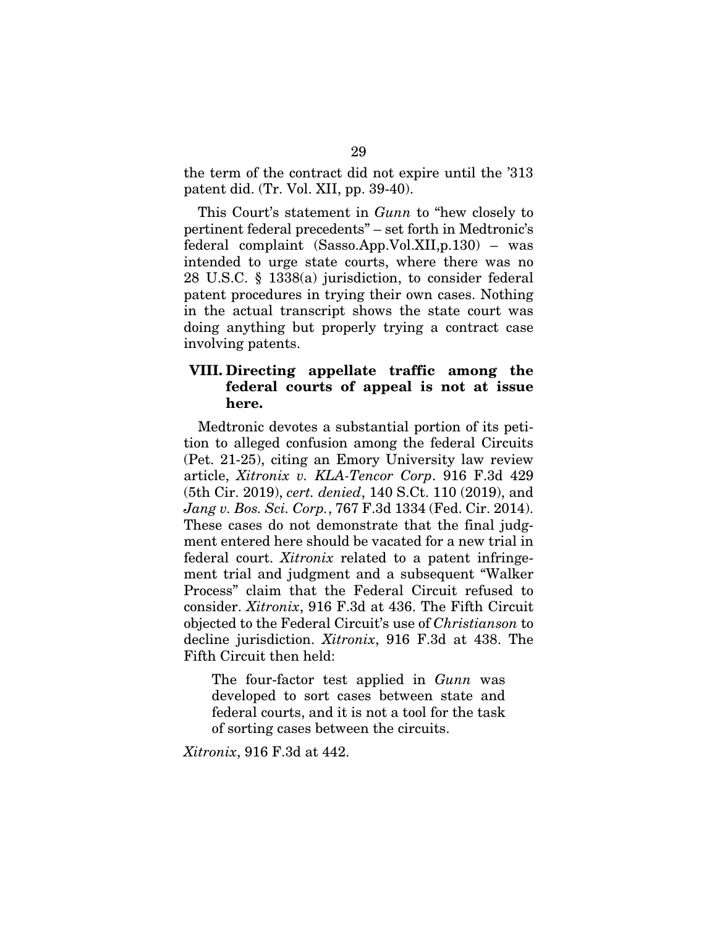the term of the contract did not expire until the '313 patent did. (Tr. Vol. XII, pp. 39-40).

This Court's statement in *Gunn* to "hew closely to pertinent federal precedents" – set forth in Medtronic's federal complaint (Sasso.App.Vol.XII,p.130) – was intended to urge state courts, where there was no 28 U.S.C. § 1338(a) jurisdiction, to consider federal patent procedures in trying their own cases. Nothing in the actual transcript shows the state court was doing anything but properly trying a contract case involving patents.

#### VIII. Directing appellate traffic among the federal courts of appeal is not at issue here.

Medtronic devotes a substantial portion of its petition to alleged confusion among the federal Circuits (Pet. 21-25), citing an Emory University law review article, *Xitronix v. KLA-Tencor Corp*. 916 F.3d 429 (5th Cir. 2019), *cert. denied*, 140 S.Ct. 110 (2019), and *Jang v. Bos. Sci. Corp.*, 767 F.3d 1334 (Fed. Cir. 2014). These cases do not demonstrate that the final judgment entered here should be vacated for a new trial in federal court. *Xitronix* related to a patent infringement trial and judgment and a subsequent "Walker Process" claim that the Federal Circuit refused to consider. *Xitronix*, 916 F.3d at 436. The Fifth Circuit objected to the Federal Circuit's use of *Christianson* to decline jurisdiction. *Xitronix*, 916 F.3d at 438. The Fifth Circuit then held:

The four-factor test applied in *Gunn* was developed to sort cases between state and federal courts, and it is not a tool for the task of sorting cases between the circuits.

*Xitronix*, 916 F.3d at 442.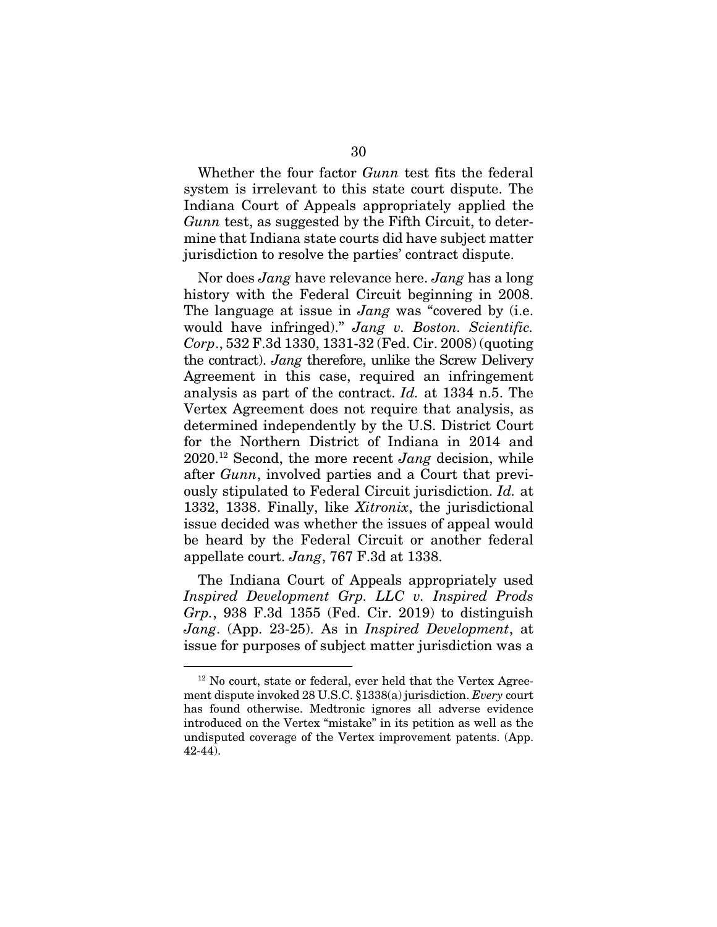Whether the four factor *Gunn* test fits the federal system is irrelevant to this state court dispute. The Indiana Court of Appeals appropriately applied the *Gunn* test, as suggested by the Fifth Circuit, to determine that Indiana state courts did have subject matter jurisdiction to resolve the parties' contract dispute.

Nor does *Jang* have relevance here. *Jang* has a long history with the Federal Circuit beginning in 2008. The language at issue in *Jang* was "covered by (i.e. would have infringed)." *Jang v. Boston. Scientific. Corp*., 532 F.3d 1330, 1331-32 (Fed. Cir. 2008) (quoting the contract). *Jang* therefore, unlike the Screw Delivery Agreement in this case, required an infringement analysis as part of the contract. *Id.* at 1334 n.5. The Vertex Agreement does not require that analysis, as determined independently by the U.S. District Court for the Northern District of Indiana in 2014 and 2020.12 Second, the more recent *Jang* decision, while after *Gunn*, involved parties and a Court that previously stipulated to Federal Circuit jurisdiction. *Id.* at 1332, 1338. Finally, like *Xitronix*, the jurisdictional issue decided was whether the issues of appeal would be heard by the Federal Circuit or another federal appellate court. *Jang*, 767 F.3d at 1338.

The Indiana Court of Appeals appropriately used *Inspired Development Grp. LLC v. Inspired Prods Grp.*, 938 F.3d 1355 (Fed. Cir. 2019) to distinguish *Jang*. (App. 23-25). As in *Inspired Development*, at issue for purposes of subject matter jurisdiction was a

<sup>&</sup>lt;sup>12</sup> No court, state or federal, ever held that the Vertex Agreement dispute invoked 28 U.S.C. §1338(a) jurisdiction. *Every* court has found otherwise. Medtronic ignores all adverse evidence introduced on the Vertex "mistake" in its petition as well as the undisputed coverage of the Vertex improvement patents. (App. 42-44).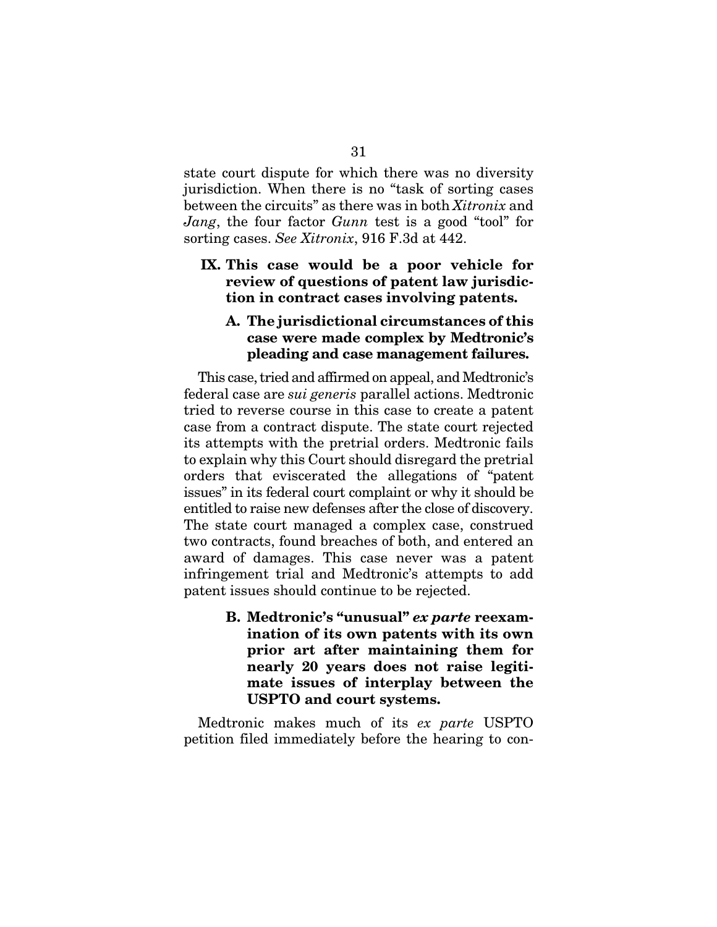state court dispute for which there was no diversity jurisdiction. When there is no "task of sorting cases between the circuits" as there was in both *Xitronix* and *Jang*, the four factor *Gunn* test is a good "tool" for sorting cases. *See Xitronix*, 916 F.3d at 442.

#### IX. This case would be a poor vehicle for review of questions of patent law jurisdiction in contract cases involving patents.

#### A. The jurisdictional circumstances of this case were made complex by Medtronic's pleading and case management failures.

This case, tried and affirmed on appeal, and Medtronic's federal case are *sui generis* parallel actions. Medtronic tried to reverse course in this case to create a patent case from a contract dispute. The state court rejected its attempts with the pretrial orders. Medtronic fails to explain why this Court should disregard the pretrial orders that eviscerated the allegations of "patent issues" in its federal court complaint or why it should be entitled to raise new defenses after the close of discovery. The state court managed a complex case, construed two contracts, found breaches of both, and entered an award of damages. This case never was a patent infringement trial and Medtronic's attempts to add patent issues should continue to be rejected.

> B. Medtronic's "unusual" *ex parte* reexamination of its own patents with its own prior art after maintaining them for nearly 20 years does not raise legitimate issues of interplay between the USPTO and court systems.

Medtronic makes much of its *ex parte* USPTO petition filed immediately before the hearing to con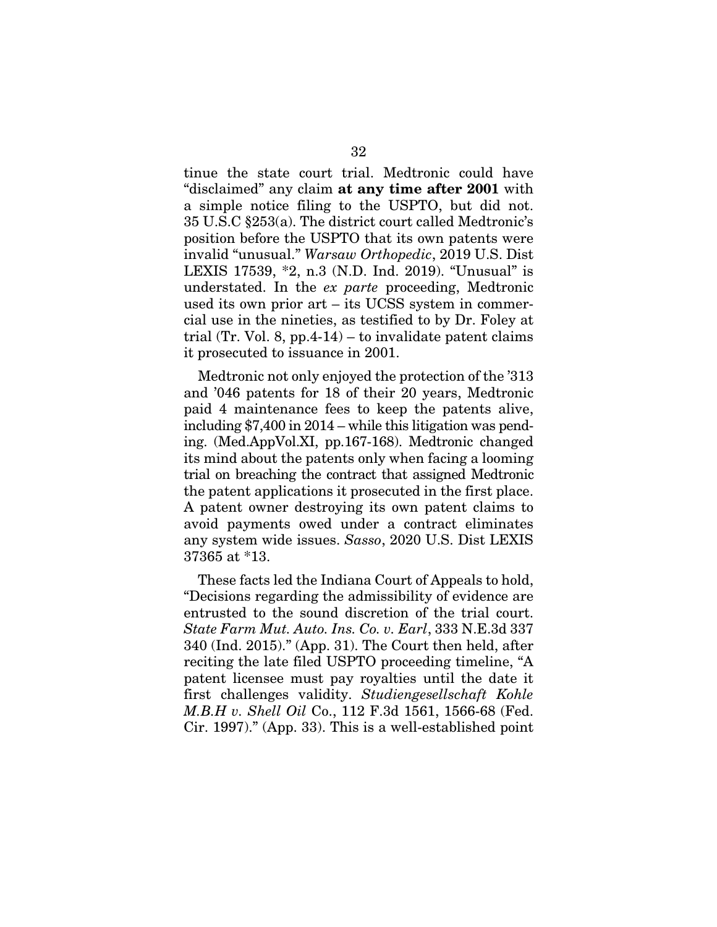tinue the state court trial. Medtronic could have "disclaimed" any claim at any time after 2001 with a simple notice filing to the USPTO, but did not. 35 U.S.C §253(a). The district court called Medtronic's position before the USPTO that its own patents were invalid "unusual." *Warsaw Orthopedic*, 2019 U.S. Dist LEXIS 17539, \*2, n.3 (N.D. Ind. 2019). "Unusual" is understated. In the *ex parte* proceeding, Medtronic used its own prior art – its UCSS system in commercial use in the nineties, as testified to by Dr. Foley at trial (Tr. Vol. 8, pp.4-14) – to invalidate patent claims it prosecuted to issuance in 2001.

Medtronic not only enjoyed the protection of the '313 and '046 patents for 18 of their 20 years, Medtronic paid 4 maintenance fees to keep the patents alive, including \$7,400 in 2014 – while this litigation was pending. (Med.AppVol.XI, pp.167-168). Medtronic changed its mind about the patents only when facing a looming trial on breaching the contract that assigned Medtronic the patent applications it prosecuted in the first place. A patent owner destroying its own patent claims to avoid payments owed under a contract eliminates any system wide issues. *Sasso*, 2020 U.S. Dist LEXIS 37365 at \*13.

These facts led the Indiana Court of Appeals to hold, "Decisions regarding the admissibility of evidence are entrusted to the sound discretion of the trial court. *State Farm Mut. Auto. Ins. Co. v. Earl*, 333 N.E.3d 337 340 (Ind. 2015)." (App. 31). The Court then held, after reciting the late filed USPTO proceeding timeline, "A patent licensee must pay royalties until the date it first challenges validity. *Studiengesellschaft Kohle M.B.H v. Shell Oil* Co., 112 F.3d 1561, 1566-68 (Fed. Cir. 1997)." (App. 33). This is a well-established point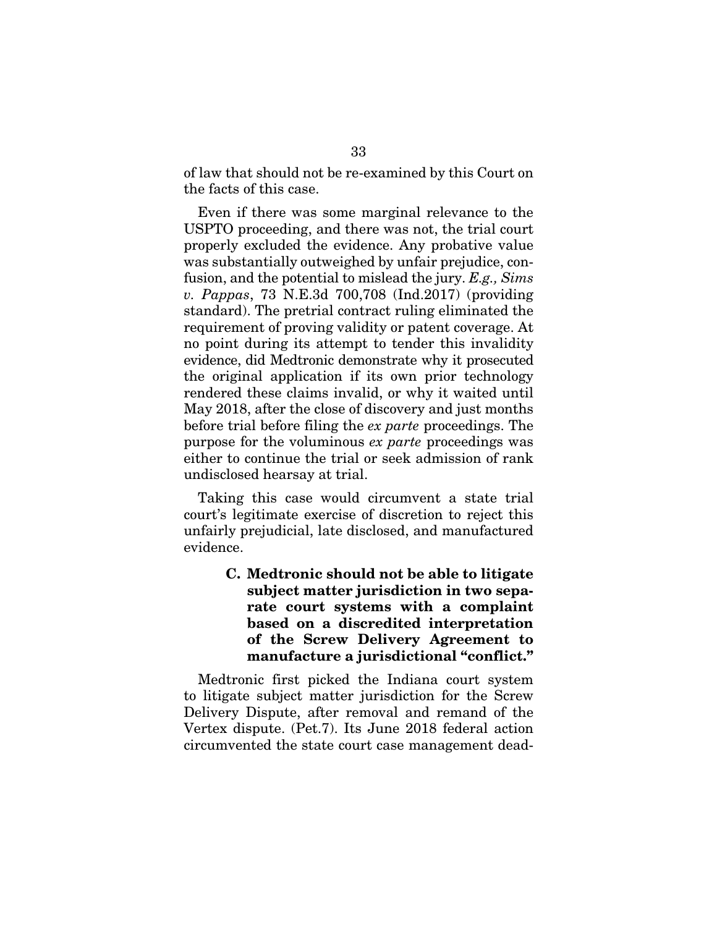of law that should not be re-examined by this Court on the facts of this case.

Even if there was some marginal relevance to the USPTO proceeding, and there was not, the trial court properly excluded the evidence. Any probative value was substantially outweighed by unfair prejudice, confusion, and the potential to mislead the jury. *E.g., Sims v. Pappas*, 73 N.E.3d 700,708 (Ind.2017) (providing standard). The pretrial contract ruling eliminated the requirement of proving validity or patent coverage. At no point during its attempt to tender this invalidity evidence, did Medtronic demonstrate why it prosecuted the original application if its own prior technology rendered these claims invalid, or why it waited until May 2018, after the close of discovery and just months before trial before filing the *ex parte* proceedings. The purpose for the voluminous *ex parte* proceedings was either to continue the trial or seek admission of rank undisclosed hearsay at trial.

Taking this case would circumvent a state trial court's legitimate exercise of discretion to reject this unfairly prejudicial, late disclosed, and manufactured evidence.

> C. Medtronic should not be able to litigate subject matter jurisdiction in two separate court systems with a complaint based on a discredited interpretation of the Screw Delivery Agreement to manufacture a jurisdictional "conflict."

Medtronic first picked the Indiana court system to litigate subject matter jurisdiction for the Screw Delivery Dispute, after removal and remand of the Vertex dispute. (Pet.7). Its June 2018 federal action circumvented the state court case management dead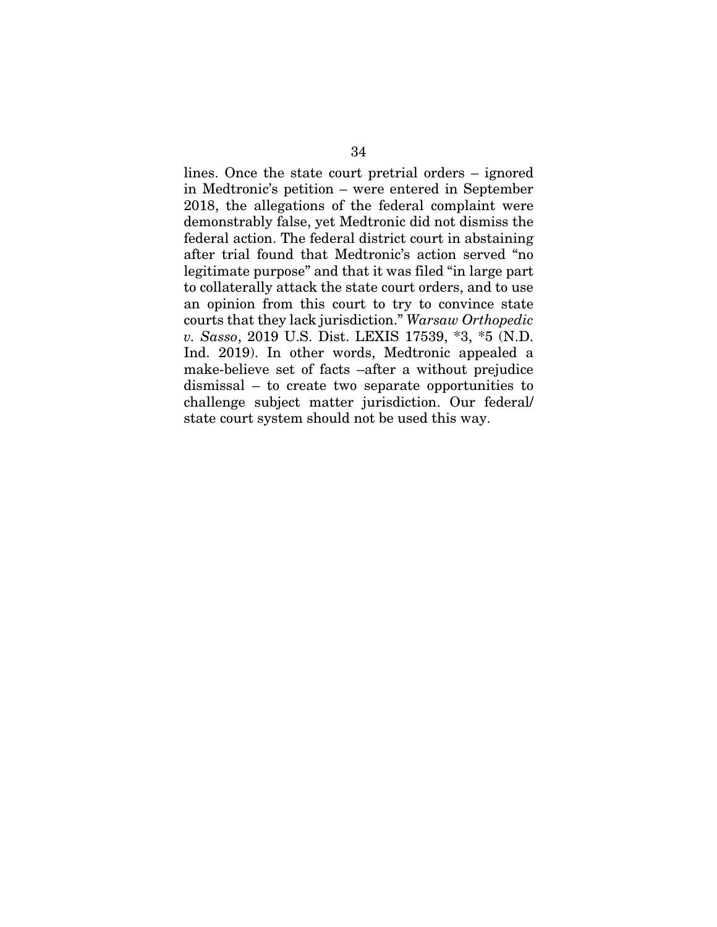lines. Once the state court pretrial orders – ignored in Medtronic's petition – were entered in September 2018, the allegations of the federal complaint were demonstrably false, yet Medtronic did not dismiss the federal action. The federal district court in abstaining after trial found that Medtronic's action served "no legitimate purpose" and that it was filed "in large part to collaterally attack the state court orders, and to use an opinion from this court to try to convince state courts that they lack jurisdiction." *Warsaw Orthopedic v. Sasso*, 2019 U.S. Dist. LEXIS 17539, \*3, \*5 (N.D. Ind. 2019). In other words, Medtronic appealed a make-believe set of facts –after a without prejudice dismissal – to create two separate opportunities to challenge subject matter jurisdiction. Our federal/ state court system should not be used this way.